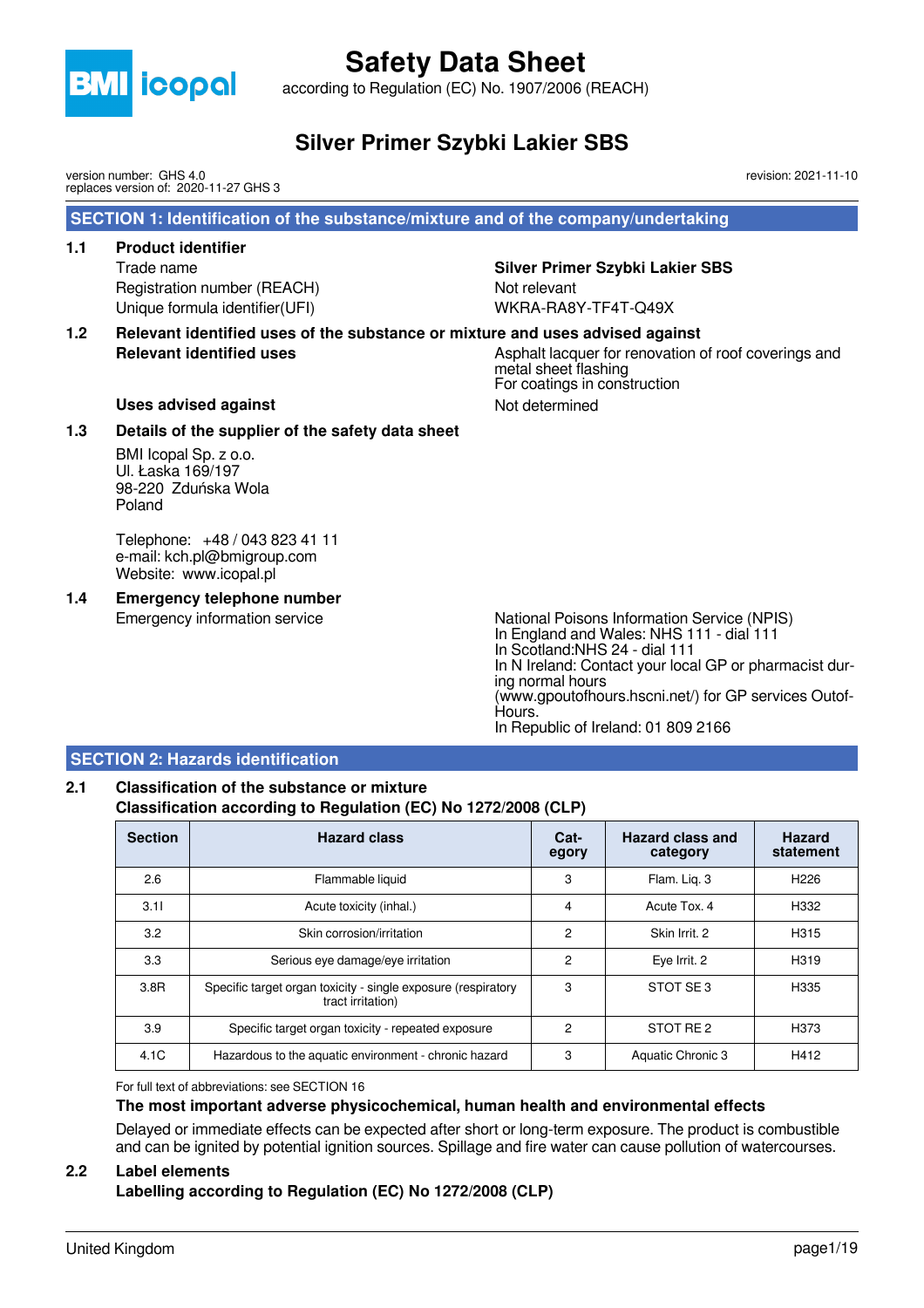

according to Regulation (EC) No. 1907/2006 (REACH)

### **Silver Primer Szybki Lakier SBS**

version number: GHS 4.0 replaces version of: 2020-11-27 GHS 3 revision: 2021-11-10

#### **SECTION 1: Identification of the substance/mixture and of the company/undertaking**

#### **1.1 Product identifier**

Trade name **Silver Primer Szybki Lakier SBS** Registration number (REACH) Not relevant Unique formula identifier(UFI) WKRA-RA8Y-TF4T-Q49X

**1.2 Relevant identified uses of the substance or mixture and uses advised against Relevant identified uses** Asphalt lacquer for renovation of roof coverings and

metal sheet flashing For coatings in construction

#### Uses advised against **Not determined** Not determined

#### **1.3 Details of the supplier of the safety data sheet**

BMI Icopal Sp. z o.o. Ul. Łaska 169/197 98-220 Zduńska Wola Poland

Telephone: +48 / 043 823 41 11 e-mail: kch.pl@bmigroup.com Website: www.icopal.pl

### **1.4 Emergency telephone number**

Emergency information service National Poisons Information Service (NPIS) In England and Wales: NHS 111 - dial 111 In Scotland:NHS 24 - dial 111 In N Ireland: Contact your local GP or pharmacist during normal hours (www.gpoutofhours.hscni.net/) for GP services Outof-Hours. In Republic of Ireland: 01 809 2166

#### **SECTION 2: Hazards identification**

#### **2.1 Classification of the substance or mixture Classification according to Regulation (EC) No 1272/2008 (CLP)**

| <b>Section</b> | <b>Hazard class</b>                                                                | Cat-<br>egory  | Hazard class and<br>category | <b>Hazard</b><br>statement |
|----------------|------------------------------------------------------------------------------------|----------------|------------------------------|----------------------------|
| 2.6            | Flammable liquid                                                                   | 3              | Flam. Lig. 3                 | H <sub>226</sub>           |
| 3.11           | Acute toxicity (inhal.)                                                            | 4              | Acute Tox, 4                 | H332                       |
| 3.2            | Skin corrosion/irritation                                                          | 2              | Skin Irrit. 2                | H315                       |
| 3.3            | Serious eye damage/eye irritation                                                  | $\overline{2}$ | Eye Irrit. 2                 | H319                       |
| 3.8R           | Specific target organ toxicity - single exposure (respiratory<br>tract irritation) | 3              | STOT SE3                     | H335                       |
| 3.9            | Specific target organ toxicity - repeated exposure                                 | $\mathcal{P}$  | STOT RE2                     | H <sub>3</sub> 73          |
| 4.1C           | Hazardous to the aquatic environment - chronic hazard                              | 3              | Aquatic Chronic 3            | H412                       |

For full text of abbreviations: see SECTION 16

#### **The most important adverse physicochemical, human health and environmental effects**

Delayed or immediate effects can be expected after short or long-term exposure. The product is combustible and can be ignited by potential ignition sources. Spillage and fire water can cause pollution of watercourses.

#### **2.2 Label elements**

**Labelling according to Regulation (EC) No 1272/2008 (CLP)**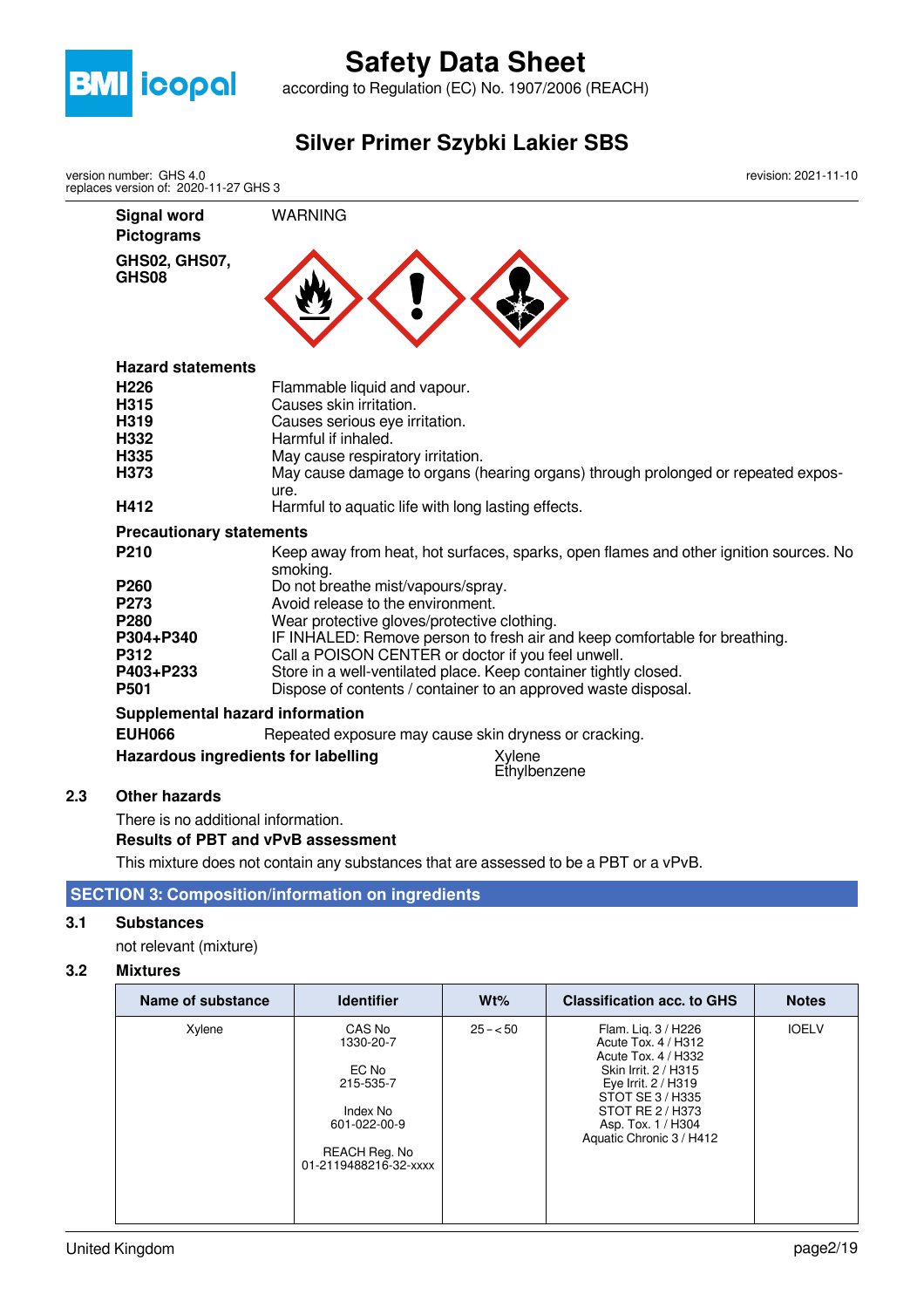

according to Regulation (EC) No. 1907/2006 (REACH)

**Silver Primer Szybki Lakier SBS**

**Signal word** WARNING **Pictograms GHS02, GHS07, GHS08 Hazard statements H226** Flammable liquid and vapour. **H315** Causes skin irritation. **H319** Causes serious eye irritation. **H332** Harmful if inhaled.<br> **H335** May cause respira **H335** May cause respiratory irritation.<br> **H373** May cause damage to organs (b May cause damage to organs (hearing organs) through prolonged or repeated exposure. **H412** Harmful to aquatic life with long lasting effects. **Precautionary statements P210** Keep away from heat, hot surfaces, sparks, open flames and other ignition sources. No smoking. **P260** Do not breathe mist/vapours/spray.<br>**P273** Avoid release to the environment. **P273** Avoid release to the environment.<br> **P280** Mear protective gloves/protective **P280** Wear protective gloves/protective clothing.<br> **P304+P340** IF INHALED: Remove person to fresh air a **IF INHALED: Remove person to fresh air and keep comfortable for breathing. P312** Call a POISON CENTER or doctor if you feel unwell.<br>**P403+P233** Store in a well-ventilated place. Keep container tightly **P403+P233** Store in a well-ventilated place. Keep container tightly closed.<br>**P501** Dispose of contents / container to an approved waste disposa **P501** Dispose of contents / container to an approved waste disposal. **Supplemental hazard information EUH066** Repeated exposure may cause skin dryness or cracking. **Hazardous ingredients for labelling** Xylene **Ethylbenzene 2.3 Other hazards** There is no additional information. version number: GHS 4.0 replaces version of: 2020-11-27 GHS 3 revision: 2021-11-10

#### **Results of PBT and vPvB assessment**

This mixture does not contain any substances that are assessed to be a PBT or a vPvB.

#### **SECTION 3: Composition/information on ingredients**

#### **3.1 Substances**

not relevant (mixture)

#### **3.2 Mixtures**

| Name of substance | <b>Identifier</b>                      | $Wt\%$    | <b>Classification acc. to GHS</b>                                 | <b>Notes</b> |
|-------------------|----------------------------------------|-----------|-------------------------------------------------------------------|--------------|
| Xylene            | CAS No<br>1330-20-7                    | $25 - 50$ | Flam. Lig. 3 / H226<br>Acute Tox. 4 / H312<br>Acute Tox. 4 / H332 | <b>IOELV</b> |
|                   | EC No<br>215-535-7                     |           | Skin Irrit, 2 / H315<br>Eye Irrit. 2 / H319<br>STOT SE 3 / H335   |              |
|                   | Index No<br>601-022-00-9               |           | STOT RE 2/H373<br>Asp. Tox. 1 / H304<br>Aquatic Chronic 3 / H412  |              |
|                   | REACH Reg. No<br>01-2119488216-32-xxxx |           |                                                                   |              |
|                   |                                        |           |                                                                   |              |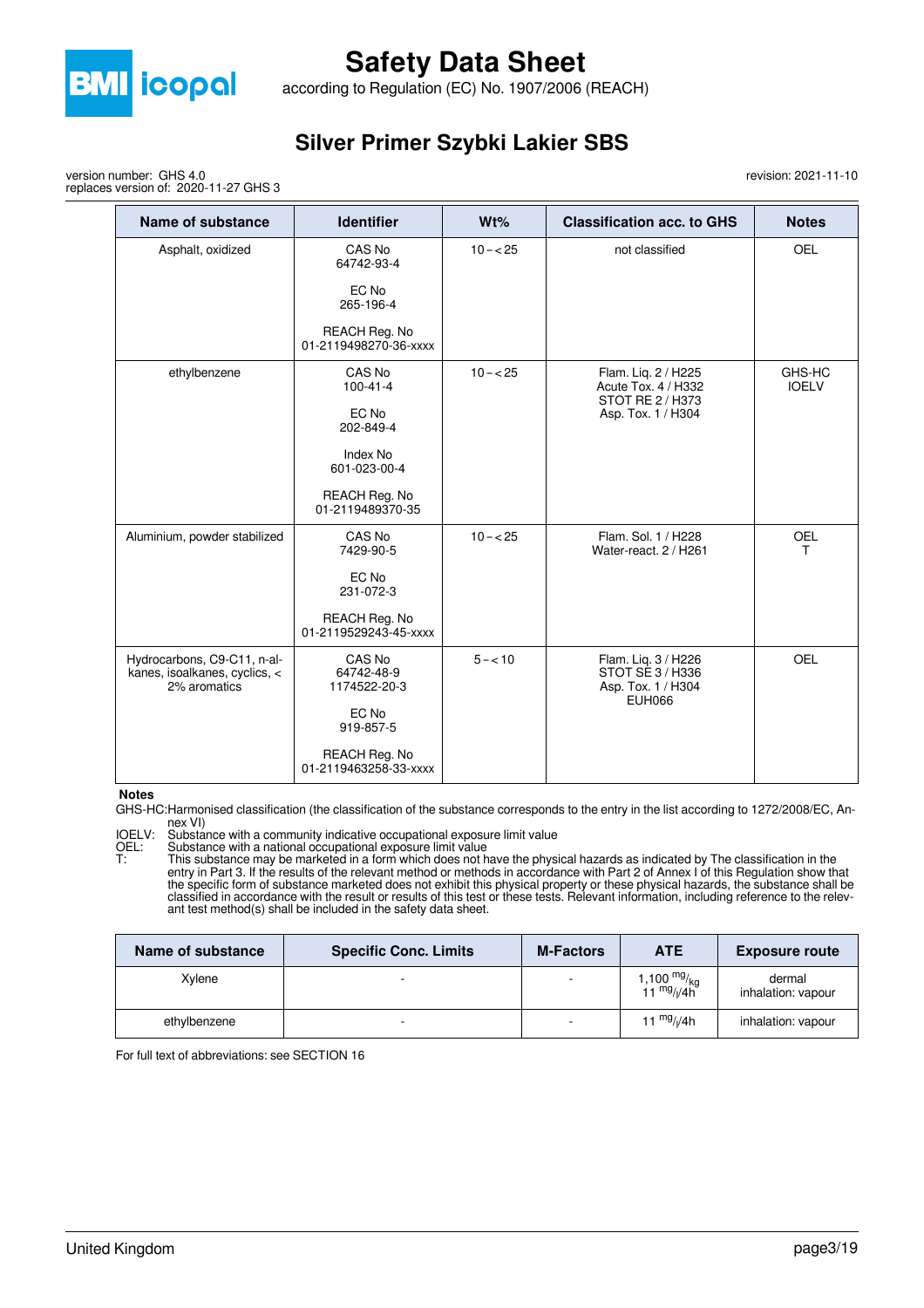

according to Regulation (EC) No. 1907/2006 (REACH)

### **Silver Primer Szybki Lakier SBS**

revision: 2021-11-10

version number: GHS 4.0 replaces version of: 2020-11-27 GHS 3

| <b>Name of substance</b>                                                     | <b>Identifier</b>                      | Wt%        | <b>Classification acc. to GHS</b>                                              | <b>Notes</b>           |
|------------------------------------------------------------------------------|----------------------------------------|------------|--------------------------------------------------------------------------------|------------------------|
| Asphalt, oxidized                                                            | CAS No<br>64742-93-4                   | $10 - 25$  | not classified                                                                 | <b>OEL</b>             |
|                                                                              | EC No<br>265-196-4                     |            |                                                                                |                        |
|                                                                              | REACH Reg. No<br>01-2119498270-36-xxxx |            |                                                                                |                        |
| ethylbenzene                                                                 | CAS No<br>$100 - 41 - 4$               | $10 - 25$  | Flam. Liq. 2 / H225<br>Acute Tox. 4 / H332<br>STOT RE 2 / H373                 | GHS-HC<br><b>IOELV</b> |
|                                                                              | EC No<br>202-849-4                     |            | Asp. Tox. 1 / H304                                                             |                        |
|                                                                              | Index No<br>601-023-00-4               |            |                                                                                |                        |
|                                                                              | REACH Reg. No<br>01-2119489370-35      |            |                                                                                |                        |
| Aluminium, powder stabilized                                                 | CAS No<br>7429-90-5                    | $10 - 25$  | Flam. Sol. 1 / H228<br>Water-react, 2 / H261                                   | <b>OEL</b><br>т        |
|                                                                              | EC No<br>231-072-3                     |            |                                                                                |                        |
|                                                                              | REACH Reg. No<br>01-2119529243-45-xxxx |            |                                                                                |                        |
| Hydrocarbons, C9-C11, n-al-<br>kanes, isoalkanes, cyclics, <<br>2% aromatics | CAS No<br>64742-48-9<br>1174522-20-3   | $5 - < 10$ | Flam. Liq. 3 / H226<br>STOT SE 3 / H336<br>Asp. Tox. 1 / H304<br><b>EUH066</b> | <b>OEL</b>             |
|                                                                              | EC No<br>919-857-5                     |            |                                                                                |                        |
|                                                                              | REACH Reg. No<br>01-2119463258-33-xxxx |            |                                                                                |                        |

#### **Notes**

GHS-HC:Harmonised classification (the classification of the substance corresponds to the entry in the list according to 1272/2008/EC, Annex VI)

IOELV: Substance with a community indicative occupational exposure limit value

OEL: Substance with a national occupational exposure limit value

T: This substance may be marketed in a form which does not have the physical hazards as indicated by The classification in the entry in Part 3. If the results of the relevant method or methods in accordance with Part 2 of Annex I of this Regulation show that the specific form of substance marketed does not exhibit this physical property or these physical hazards, the substance shall be classified in accordance with the result or results of this test or these tests. Relevant information, including reference to the relevant test method(s) shall be included in the safety data sheet.

| Name of substance | <b>Specific Conc. Limits</b> | <b>M-Factors</b> | <b>ATE</b>                                                                 | <b>Exposure route</b>        |
|-------------------|------------------------------|------------------|----------------------------------------------------------------------------|------------------------------|
| Xvlene            | -                            |                  | 1,100 <sup>mg</sup> / <sub>kg</sub><br>11 <sup>mg</sup> / <sub>l</sub> /4h | dermal<br>inhalation: vapour |
| ethylbenzene      |                              |                  | 11 $mg/(4h)$                                                               | inhalation: vapour           |

For full text of abbreviations: see SECTION 16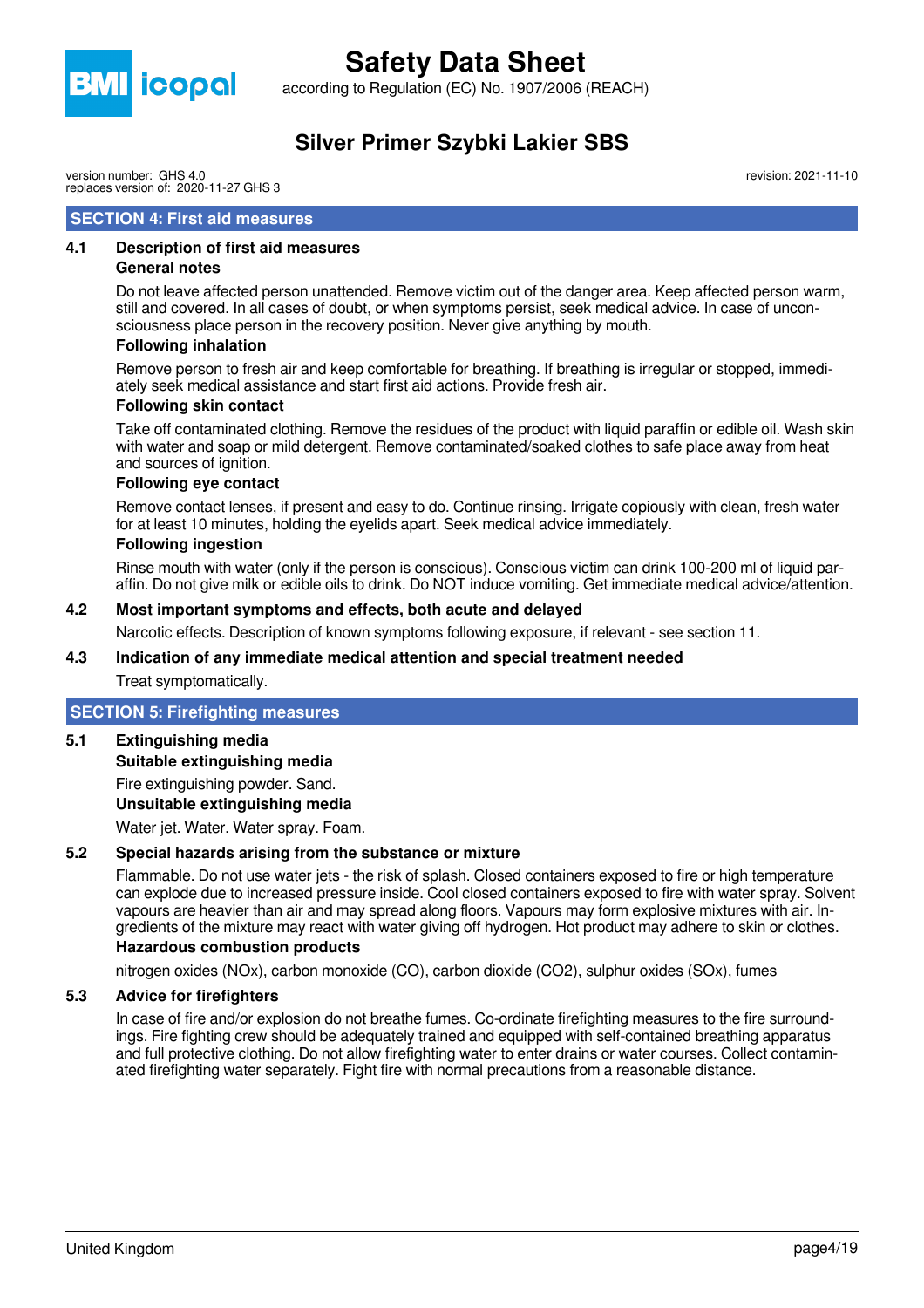

according to Regulation (EC) No. 1907/2006 (REACH)

### **Silver Primer Szybki Lakier SBS**

version number: GHS 4.0 replaces version of: 2020-11-27 GHS 3

#### **SECTION 4: First aid measures**

#### **4.1 Description of first aid measures**

#### **General notes**

Do not leave affected person unattended. Remove victim out of the danger area. Keep affected person warm, still and covered. In all cases of doubt, or when symptoms persist, seek medical advice. In case of unconsciousness place person in the recovery position. Never give anything by mouth.

#### **Following inhalation**

Remove person to fresh air and keep comfortable for breathing. If breathing is irregular or stopped, immediately seek medical assistance and start first aid actions. Provide fresh air.

#### **Following skin contact**

Take off contaminated clothing. Remove the residues of the product with liquid paraffin or edible oil. Wash skin with water and soap or mild detergent. Remove contaminated/soaked clothes to safe place away from heat and sources of ignition.

#### **Following eye contact**

Remove contact lenses, if present and easy to do. Continue rinsing. Irrigate copiously with clean, fresh water for at least 10 minutes, holding the eyelids apart. Seek medical advice immediately.

#### **Following ingestion**

Rinse mouth with water (only if the person is conscious). Conscious victim can drink 100-200 ml of liquid paraffin. Do not give milk or edible oils to drink. Do NOT induce vomiting. Get immediate medical advice/attention.

#### **4.2 Most important symptoms and effects, both acute and delayed**

Narcotic effects. Description of known symptoms following exposure, if relevant - see section 11.

#### **4.3 Indication of any immediate medical attention and special treatment needed**

Treat symptomatically.

#### **SECTION 5: Firefighting measures**

**5.1 Extinguishing media**

**Suitable extinguishing media**

Fire extinguishing powder. Sand. **Unsuitable extinguishing media**

Water jet. Water. Water spray. Foam.

#### **5.2 Special hazards arising from the substance or mixture**

Flammable. Do not use water jets - the risk of splash. Closed containers exposed to fire or high temperature can explode due to increased pressure inside. Cool closed containers exposed to fire with water spray. Solvent vapours are heavier than air and may spread along floors. Vapours may form explosive mixtures with air. Ingredients of the mixture may react with water giving off hydrogen. Hot product may adhere to skin or clothes.

### **Hazardous combustion products**

nitrogen oxides (NOx), carbon monoxide (CO), carbon dioxide (CO2), sulphur oxides (SOx), fumes

#### **5.3 Advice for firefighters**

In case of fire and/or explosion do not breathe fumes. Co-ordinate firefighting measures to the fire surroundings. Fire fighting crew should be adequately trained and equipped with self-contained breathing apparatus and full protective clothing. Do not allow firefighting water to enter drains or water courses. Collect contaminated firefighting water separately. Fight fire with normal precautions from a reasonable distance.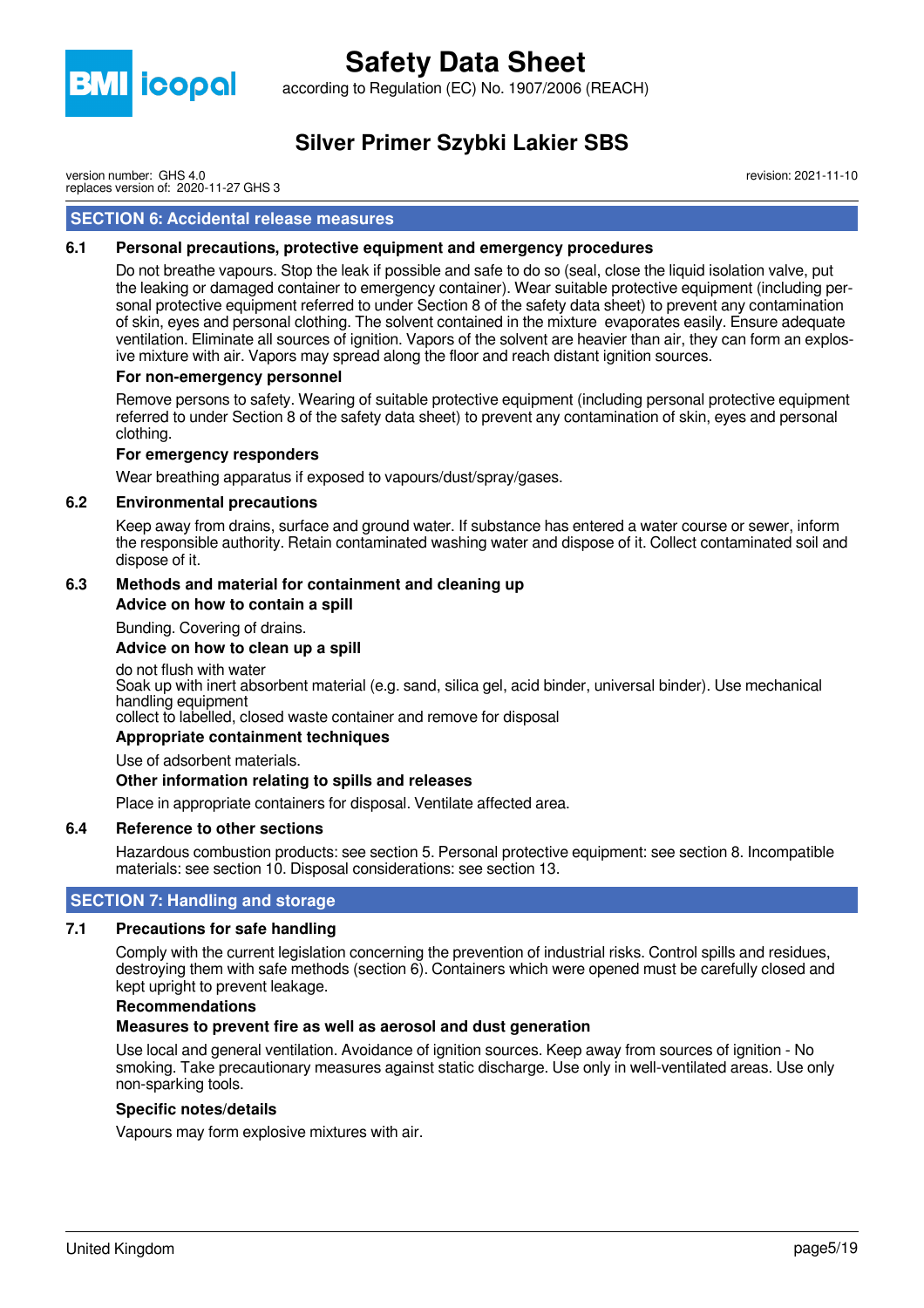

according to Regulation (EC) No. 1907/2006 (REACH)

### **Silver Primer Szybki Lakier SBS**

revision: 2021-11-10

version number: GHS 4.0 replaces version of: 2020-11-27 GHS 3

#### **SECTION 6: Accidental release measures**

#### **6.1 Personal precautions, protective equipment and emergency procedures**

Do not breathe vapours. Stop the leak if possible and safe to do so (seal, close the liquid isolation valve, put the leaking or damaged container to emergency container). Wear suitable protective equipment (including personal protective equipment referred to under Section 8 of the safety data sheet) to prevent any contamination of skin, eyes and personal clothing. The solvent contained in the mixture evaporates easily. Ensure adequate ventilation. Eliminate all sources of ignition. Vapors of the solvent are heavier than air, they can form an explosive mixture with air. Vapors may spread along the floor and reach distant ignition sources.

#### **For non-emergency personnel**

Remove persons to safety. Wearing of suitable protective equipment (including personal protective equipment referred to under Section 8 of the safety data sheet) to prevent any contamination of skin, eyes and personal clothing.

#### **For emergency responders**

Wear breathing apparatus if exposed to vapours/dust/spray/gases.

#### **6.2 Environmental precautions**

Keep away from drains, surface and ground water. If substance has entered a water course or sewer, inform the responsible authority. Retain contaminated washing water and dispose of it. Collect contaminated soil and dispose of it.

#### **6.3 Methods and material for containment and cleaning up**

**Advice on how to contain a spill**

Bunding. Covering of drains.

#### **Advice on how to clean up a spill**

do not flush with water

Soak up with inert absorbent material (e.g. sand, silica gel, acid binder, universal binder). Use mechanical handling equipment

collect to labelled, closed waste container and remove for disposal

#### **Appropriate containment techniques**

Use of adsorbent materials.

#### **Other information relating to spills and releases**

Place in appropriate containers for disposal. Ventilate affected area.

#### **6.4 Reference to other sections**

Hazardous combustion products: see section 5. Personal protective equipment: see section 8. Incompatible materials: see section 10. Disposal considerations: see section 13.

#### **SECTION 7: Handling and storage**

#### **7.1 Precautions for safe handling**

Comply with the current legislation concerning the prevention of industrial risks. Control spills and residues, destroying them with safe methods (section 6). Containers which were opened must be carefully closed and kept upright to prevent leakage.

#### **Recommendations**

#### **Measures to prevent fire as well as aerosol and dust generation**

Use local and general ventilation. Avoidance of ignition sources. Keep away from sources of ignition - No smoking. Take precautionary measures against static discharge. Use only in well-ventilated areas. Use only non-sparking tools.

#### **Specific notes/details**

Vapours may form explosive mixtures with air.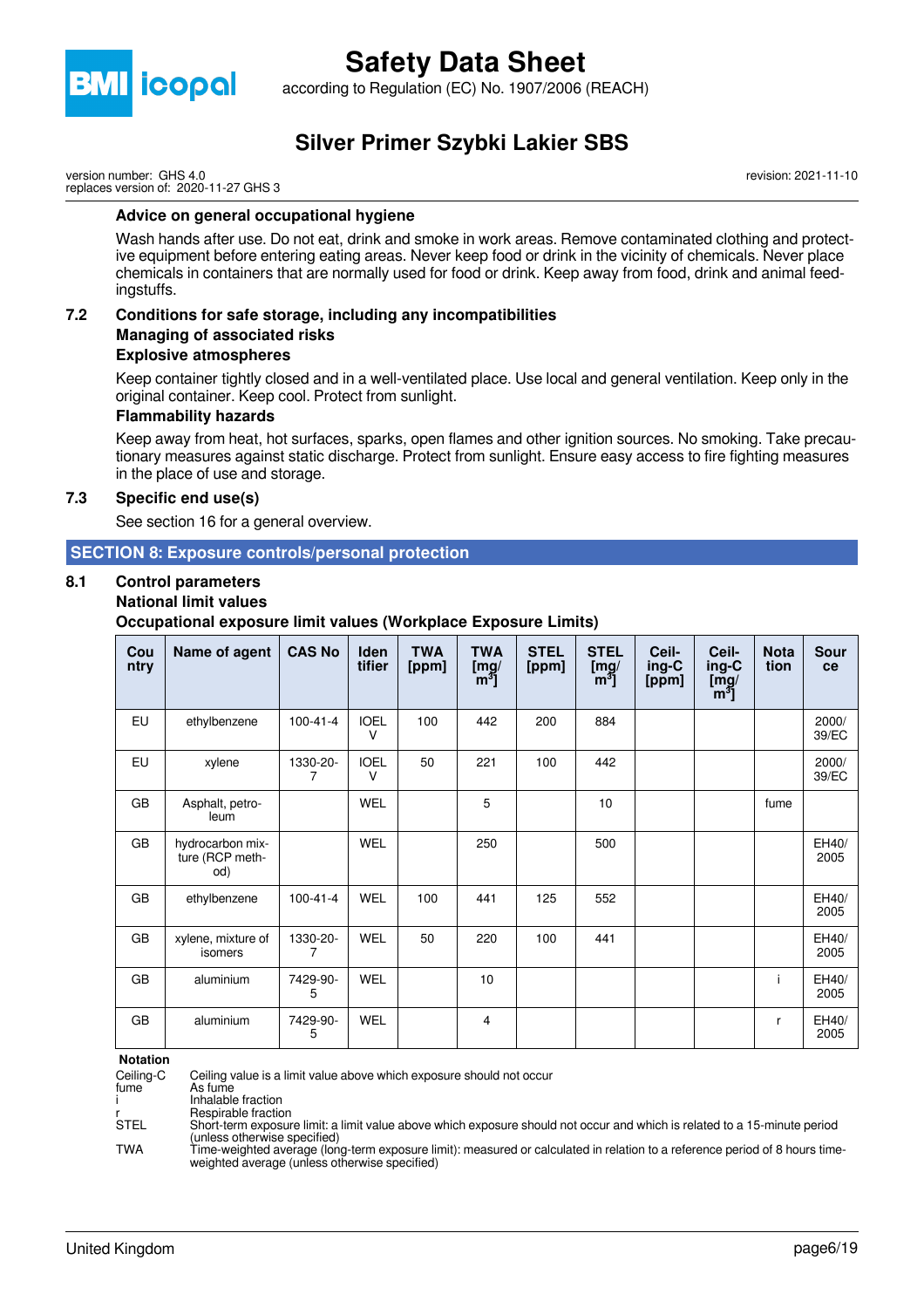

according to Regulation (EC) No. 1907/2006 (REACH)

## **Silver Primer Szybki Lakier SBS**

version number: GHS 4.0 replaces version of: 2020-11-27 GHS 3 revision: 2021-11-10

#### **Advice on general occupational hygiene**

Wash hands after use. Do not eat, drink and smoke in work areas. Remove contaminated clothing and protective equipment before entering eating areas. Never keep food or drink in the vicinity of chemicals. Never place chemicals in containers that are normally used for food or drink. Keep away from food, drink and animal feedingstuffs.

#### **7.2 Conditions for safe storage, including any incompatibilities Managing of associated risks Explosive atmospheres**

Keep container tightly closed and in a well-ventilated place. Use local and general ventilation. Keep only in the original container. Keep cool. Protect from sunlight.

#### **Flammability hazards**

Keep away from heat, hot surfaces, sparks, open flames and other ignition sources. No smoking. Take precautionary measures against static discharge. Protect from sunlight. Ensure easy access to fire fighting measures in the place of use and storage.

#### **7.3 Specific end use(s)**

See section 16 for a general overview.

#### **SECTION 8: Exposure controls/personal protection**

## **8.1 Control parameters**

#### **National limit values**

**Occupational exposure limit values (Workplace Exposure Limits)**

| Cou<br>ntry | Name of agent                              | <b>CAS No</b>  | <b>Iden</b><br>tifier | <b>TWA</b><br>[ppm] | <b>TWA</b><br>[mg]<br>$[m^3]$ | <b>STEL</b><br>[ppm] | <b>STEL</b><br>[mg]<br>$[m^3]$ | Ceil-<br>ing-C<br>[ppm] | Ceil-<br>ing-C<br>$\overline{\text{[mg]}}$<br>[m <sup>3</sup> ] | <b>Nota</b><br>tion | <b>Sour</b><br>ce |
|-------------|--------------------------------------------|----------------|-----------------------|---------------------|-------------------------------|----------------------|--------------------------------|-------------------------|-----------------------------------------------------------------|---------------------|-------------------|
| EU          | ethylbenzene                               | $100 - 41 - 4$ | <b>IOEL</b><br>$\vee$ | 100                 | 442                           | 200                  | 884                            |                         |                                                                 |                     | 2000/<br>39/EC    |
| EU          | xylene                                     | 1330-20-<br>7  | <b>IOEL</b><br>$\vee$ | 50                  | 221                           | 100                  | 442                            |                         |                                                                 |                     | 2000/<br>39/EC    |
| GB          | Asphalt, petro-<br>leum                    |                | <b>WEL</b>            |                     | 5                             |                      | 10                             |                         |                                                                 | fume                |                   |
| GB          | hydrocarbon mix-<br>ture (RCP meth-<br>od) |                | <b>WEL</b>            |                     | 250                           |                      | 500                            |                         |                                                                 |                     | EH40/<br>2005     |
| GB          | ethylbenzene                               | $100 - 41 - 4$ | <b>WEL</b>            | 100                 | 441                           | 125                  | 552                            |                         |                                                                 |                     | EH40/<br>2005     |
| GB          | xylene, mixture of<br>isomers              | 1330-20-       | <b>WEL</b>            | 50                  | 220                           | 100                  | 441                            |                         |                                                                 |                     | EH40/<br>2005     |
| GB          | aluminium                                  | 7429-90-<br>5  | <b>WEL</b>            |                     | 10                            |                      |                                |                         |                                                                 | i                   | EH40/<br>2005     |
| GB          | aluminium                                  | 7429-90-<br>5  | <b>WEL</b>            |                     | 4                             |                      |                                |                         |                                                                 | r                   | EH40/<br>2005     |

**Notation**

Ceiling-C Ceiling value is a limit value above which exposure should not occur

As fume

i Inhalable fraction

r<br>
The Respirable fraction<br>
Short-term exposur Short-term exposure limit: a limit value above which exposure should not occur and which is related to a 15-minute period (unless otherwise specified)

TWA Time-weighted average (long-term exposure limit): measured or calculated in relation to a reference period of 8 hours timeweighted average (unless otherwise specified)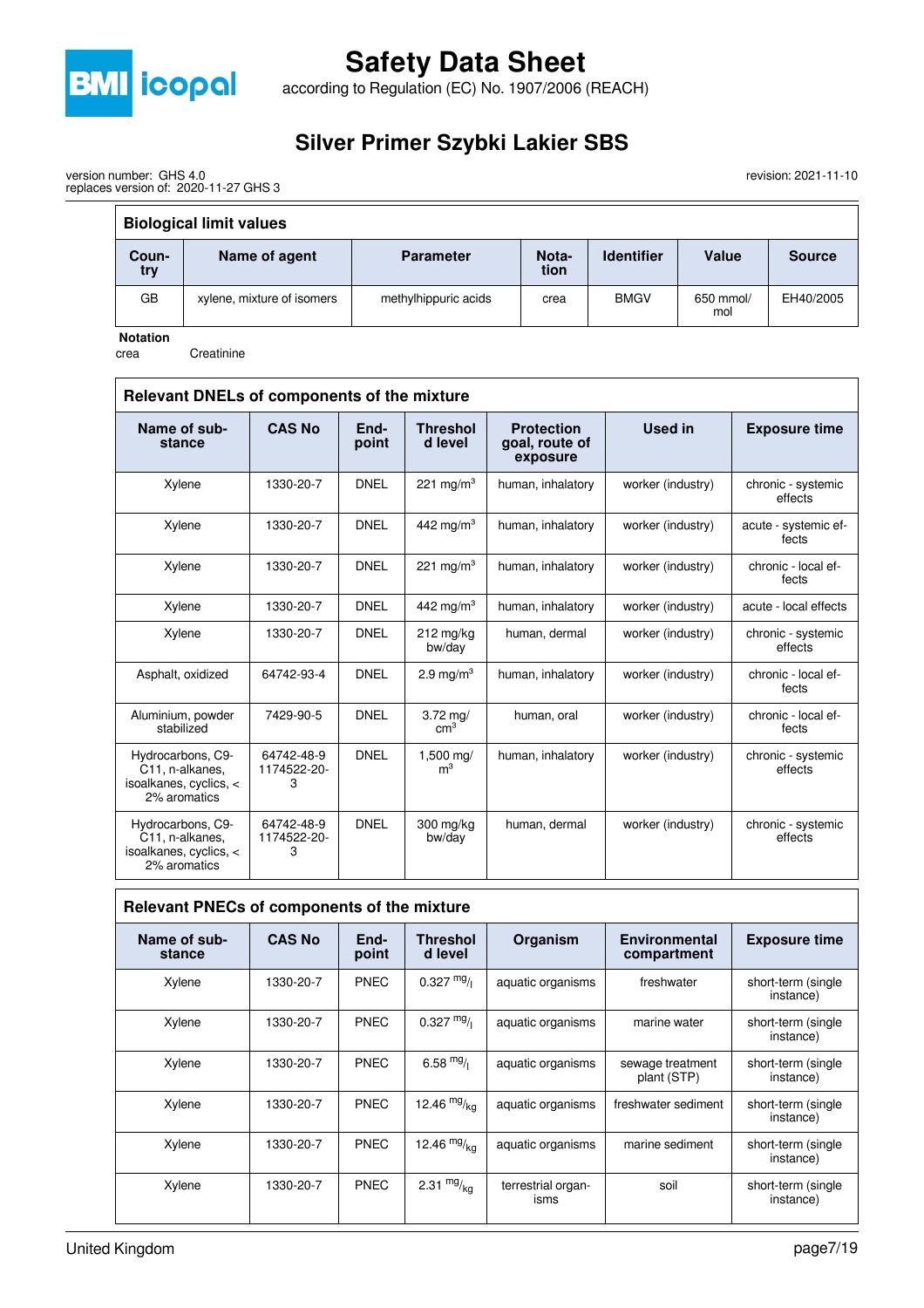

according to Regulation (EC) No. 1907/2006 (REACH)

## **Silver Primer Szybki Lakier SBS**

revision: 2021-11-10

| version number: GHS 4.0               |  |
|---------------------------------------|--|
| replaces version of: 2020-11-27 GHS 3 |  |

| <b>Biological limit values</b> |                            |                      |               |                   |                  |               |  |  |  |
|--------------------------------|----------------------------|----------------------|---------------|-------------------|------------------|---------------|--|--|--|
| Coun-<br>try                   | Name of agent              | <b>Parameter</b>     | Nota-<br>tion | <b>Identifier</b> | Value            | <b>Source</b> |  |  |  |
| GB                             | xylene, mixture of isomers | methylhippuric acids | crea          | <b>BMGV</b>       | 650 mmol/<br>mol | EH40/2005     |  |  |  |

**Notation**

crea Creatinine

| Relevant DNELs of components of the mixture                                                 |                                |               |                                      |                                                 |                   |                               |  |
|---------------------------------------------------------------------------------------------|--------------------------------|---------------|--------------------------------------|-------------------------------------------------|-------------------|-------------------------------|--|
| Name of sub-<br>stance                                                                      | <b>CAS No</b>                  | End-<br>point | <b>Threshol</b><br>d level           | <b>Protection</b><br>goal, route of<br>exposure | Used in           | <b>Exposure time</b>          |  |
| Xylene                                                                                      | 1330-20-7                      | <b>DNEL</b>   | 221 mg/m <sup>3</sup>                | human, inhalatory                               | worker (industry) | chronic - systemic<br>effects |  |
| Xylene                                                                                      | 1330-20-7                      | <b>DNEL</b>   | 442 mg/m $3$                         | human, inhalatory                               | worker (industry) | acute - systemic ef-<br>fects |  |
| Xylene                                                                                      | 1330-20-7                      | <b>DNEL</b>   | 221 mg/m <sup>3</sup>                | human, inhalatory                               | worker (industry) | chronic - local ef-<br>fects  |  |
| Xylene                                                                                      | 1330-20-7                      | <b>DNEL</b>   | 442 mg/m <sup>3</sup>                | human, inhalatory                               | worker (industry) | acute - local effects         |  |
| Xylene                                                                                      | 1330-20-7                      | <b>DNEL</b>   | $212$ mg/kg<br>bw/day                | human, dermal                                   | worker (industry) | chronic - systemic<br>effects |  |
| Asphalt, oxidized                                                                           | 64742-93-4                     | <b>DNEL</b>   | 2.9 mg/ $m3$                         | human, inhalatory                               | worker (industry) | chronic - local ef-<br>fects  |  |
| Aluminium, powder<br>stabilized                                                             | 7429-90-5                      | <b>DNEL</b>   | $3.72 \text{ mg}$<br>cm <sup>3</sup> | human, oral                                     | worker (industry) | chronic - local ef-<br>fects  |  |
| Hydrocarbons, C9-<br>C <sub>11</sub> , n-alkanes,<br>isoalkanes, cyclics, <<br>2% aromatics | 64742-48-9<br>1174522-20-<br>3 | <b>DNEL</b>   | 1,500 mg/<br>m <sup>3</sup>          | human, inhalatory                               | worker (industry) | chronic - systemic<br>effects |  |
| Hydrocarbons, C9-<br>C11, n-alkanes,<br>isoalkanes, cyclics, <<br>2% aromatics              | 64742-48-9<br>1174522-20-<br>3 | <b>DNEL</b>   | 300 mg/kg<br>bw/day                  | human, dermal                                   | worker (industry) | chronic - systemic<br>effects |  |

|                        | Relevant PNECs of components of the mixture |               |                            |                            |                                     |                                  |  |  |
|------------------------|---------------------------------------------|---------------|----------------------------|----------------------------|-------------------------------------|----------------------------------|--|--|
| Name of sub-<br>stance | <b>CAS No</b>                               | End-<br>point | <b>Threshol</b><br>d level | Organism                   | <b>Environmental</b><br>compartment | <b>Exposure time</b>             |  |  |
| Xylene                 | 1330-20-7                                   | <b>PNEC</b>   | $0.327 \frac{mg}{l}$       | aquatic organisms          | freshwater                          | short-term (single<br>instance)  |  |  |
| Xylene                 | 1330-20-7                                   | <b>PNEC</b>   | $0.327$ mg/                | aquatic organisms          | marine water                        | short-term (single<br>instance)  |  |  |
| Xylene                 | 1330-20-7                                   | <b>PNEC</b>   | 6.58 $mg/$                 | aquatic organisms          | sewage treatment<br>plant (STP)     | short-term (single<br>instance)  |  |  |
| Xylene                 | 1330-20-7                                   | <b>PNEC</b>   | 12.46 $mg/kq$              | aquatic organisms          | freshwater sediment                 | short-term (single<br>instance)  |  |  |
| Xylene                 | 1330-20-7                                   | <b>PNEC</b>   | 12.46 $mg/kq$              | aquatic organisms          | marine sediment                     | short-term (single<br>instance)  |  |  |
| Xylene                 | 1330-20-7                                   | <b>PNEC</b>   | 2.31 $mg/kq$               | terrestrial organ-<br>isms | soil                                | short-term (single)<br>instance) |  |  |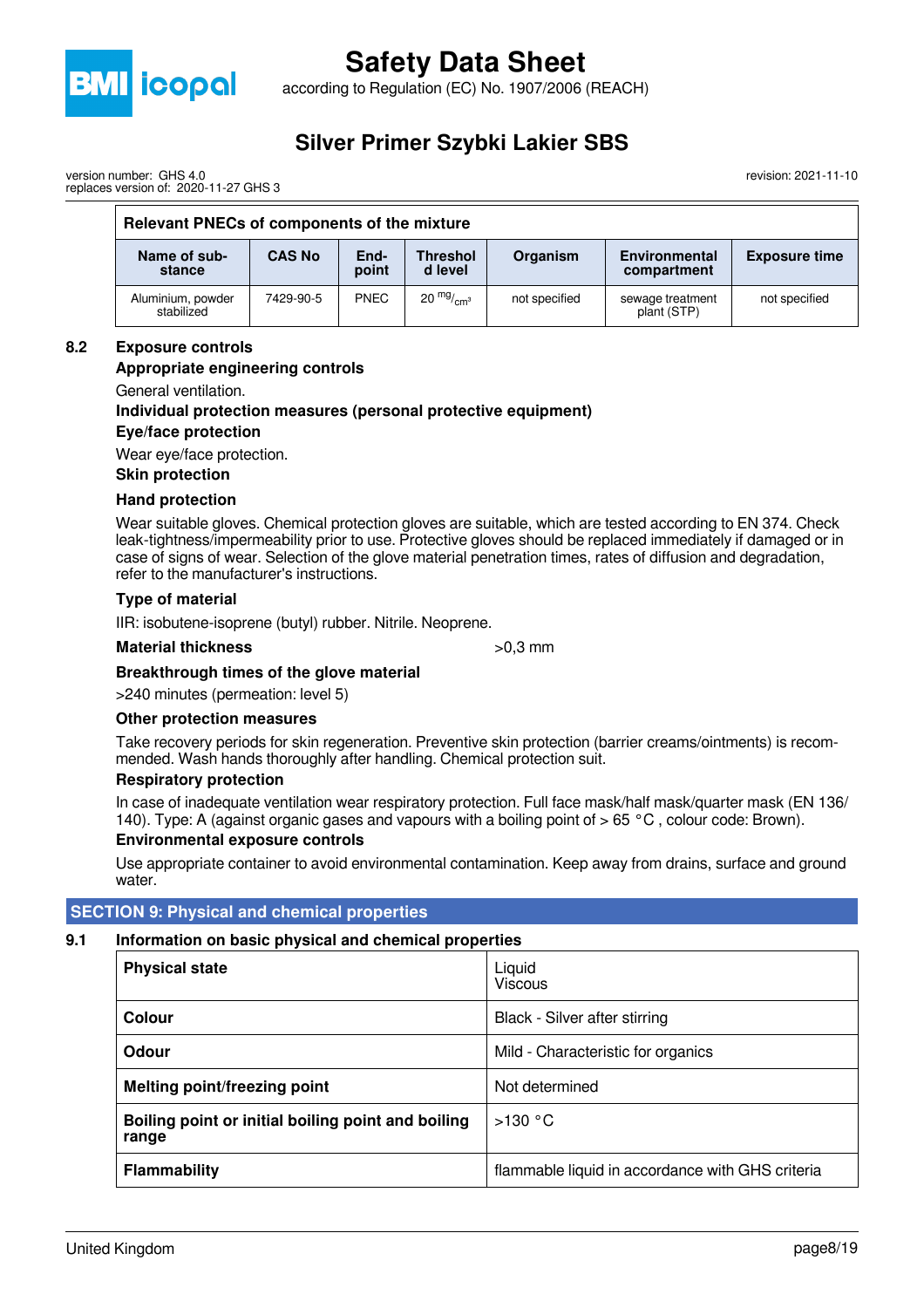

according to Regulation (EC) No. 1907/2006 (REACH)

### **Silver Primer Szybki Lakier SBS**

revision: 2021-11-10

| version number: GHS 4.0               |  |
|---------------------------------------|--|
| replaces version of: 2020-11-27 GHS 3 |  |

| Relevant PNECs of components of the mixture |               |               |                            |               |                                     |                      |  |
|---------------------------------------------|---------------|---------------|----------------------------|---------------|-------------------------------------|----------------------|--|
| Name of sub-<br>stance                      | <b>CAS No</b> | End-<br>point | <b>Threshol</b><br>d level | Organism      | <b>Environmental</b><br>compartment | <b>Exposure time</b> |  |
| Aluminium, powder<br>stabilized             | 7429-90-5     | <b>PNEC</b>   | 20 $mg/mcm3$               | not specified | sewage treatment<br>plant (STP)     | not specified        |  |

#### **8.2 Exposure controls**

#### **Appropriate engineering controls**

General ventilation.

#### **Individual protection measures (personal protective equipment) Eye/face protection**

Wear eye/face protection.

#### **Skin protection**

#### **Hand protection**

Wear suitable gloves. Chemical protection gloves are suitable, which are tested according to EN 374. Check leak-tightness/impermeability prior to use. Protective gloves should be replaced immediately if damaged or in case of signs of wear. Selection of the glove material penetration times, rates of diffusion and degradation, refer to the manufacturer's instructions.

#### **Type of material**

IIR: isobutene-isoprene (butyl) rubber. Nitrile. Neoprene.

#### **Material thickness**  $>0.3$  mm

#### **Breakthrough times of the glove material**

>240 minutes (permeation: level 5)

#### **Other protection measures**

Take recovery periods for skin regeneration. Preventive skin protection (barrier creams/ointments) is recommended. Wash hands thoroughly after handling. Chemical protection suit.

#### **Respiratory protection**

In case of inadequate ventilation wear respiratory protection. Full face mask/half mask/quarter mask (EN 136/ 140). Type: A (against organic gases and vapours with a boiling point of  $> 65 °C$ , colour code: Brown).

#### **Environmental exposure controls**

Use appropriate container to avoid environmental contamination. Keep away from drains, surface and ground water.

#### **SECTION 9: Physical and chemical properties**

#### **9.1 Information on basic physical and chemical properties**

| <b>Physical state</b>                                       | Liquid<br><b>Viscous</b>                         |
|-------------------------------------------------------------|--------------------------------------------------|
| <b>Colour</b>                                               | Black - Silver after stirring                    |
| Odour                                                       | Mild - Characteristic for organics               |
| <b>Melting point/freezing point</b>                         | Not determined                                   |
| Boiling point or initial boiling point and boiling<br>range | >130 °C                                          |
| <b>Flammability</b>                                         | flammable liquid in accordance with GHS criteria |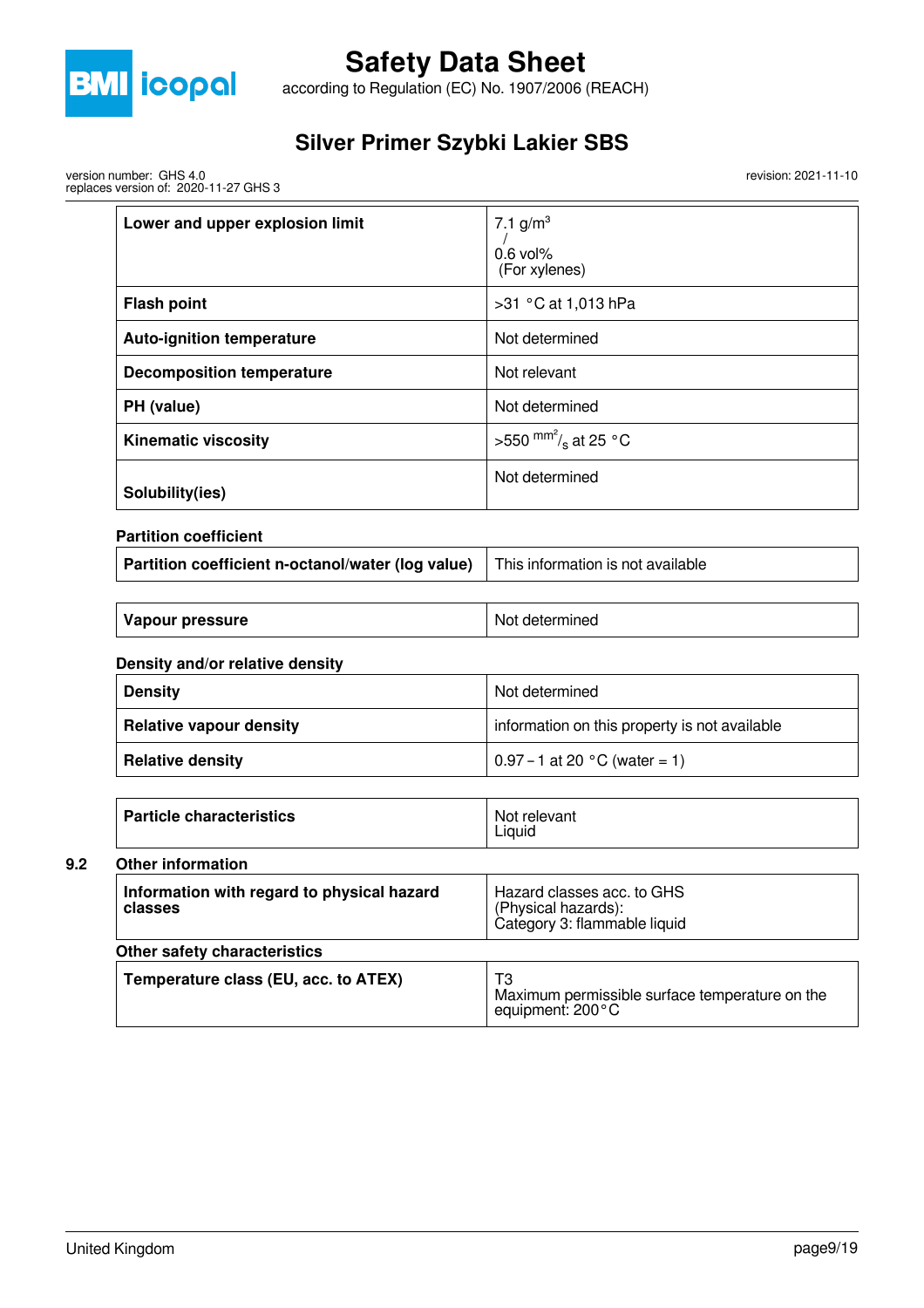

according to Regulation (EC) No. 1907/2006 (REACH)

### **Silver Primer Szybki Lakier SBS**

version number: GHS 4.0 replaces version of: 2020-11-27 GHS 3 revision: 2021-11-10

| Lower and upper explosion limit  | 7.1 $g/m^3$<br>$0.6$ vol%<br>(For xylenes) |
|----------------------------------|--------------------------------------------|
| <b>Flash point</b>               | >31 °C at 1,013 hPa                        |
| <b>Auto-ignition temperature</b> | Not determined                             |
| <b>Decomposition temperature</b> | Not relevant                               |
| PH (value)                       | Not determined                             |
| <b>Kinematic viscosity</b>       | >550 $\text{mm}^2\text{/s}$ at 25 °C       |
| Solubility(ies)                  | Not determined                             |

**Partition coefficient**

| Partition coefficient n-octanol/water (log value) This information is not available |  |
|-------------------------------------------------------------------------------------|--|
|                                                                                     |  |

| Vapour pressure | Not determined |
|-----------------|----------------|
|                 |                |

#### **Density and/or relative density**

| <b>Density</b>                 | Not determined                                |  |
|--------------------------------|-----------------------------------------------|--|
| <b>Relative vapour density</b> | information on this property is not available |  |
| <b>Relative density</b>        | $\vert 0.97 - 1$ at 20 °C (water = 1)         |  |

| <b>Particle characteristics</b> | Not relevant<br>Liauid |
|---------------------------------|------------------------|
|                                 |                        |

### **9.2 Other information**

| <b>UTHEL INTOINT SHIP</b>                             |                                                                                    |
|-------------------------------------------------------|------------------------------------------------------------------------------------|
| Information with regard to physical hazard<br>classes | Hazard classes acc. to GHS<br>(Physical hazards):<br>Category 3: flammable liquid  |
| Other safety characteristics                          |                                                                                    |
| Temperature class (EU, acc. to ATEX)                  | T3<br>Maximum permissible surface temperature on the<br>equipment: $200^{\circ}$ C |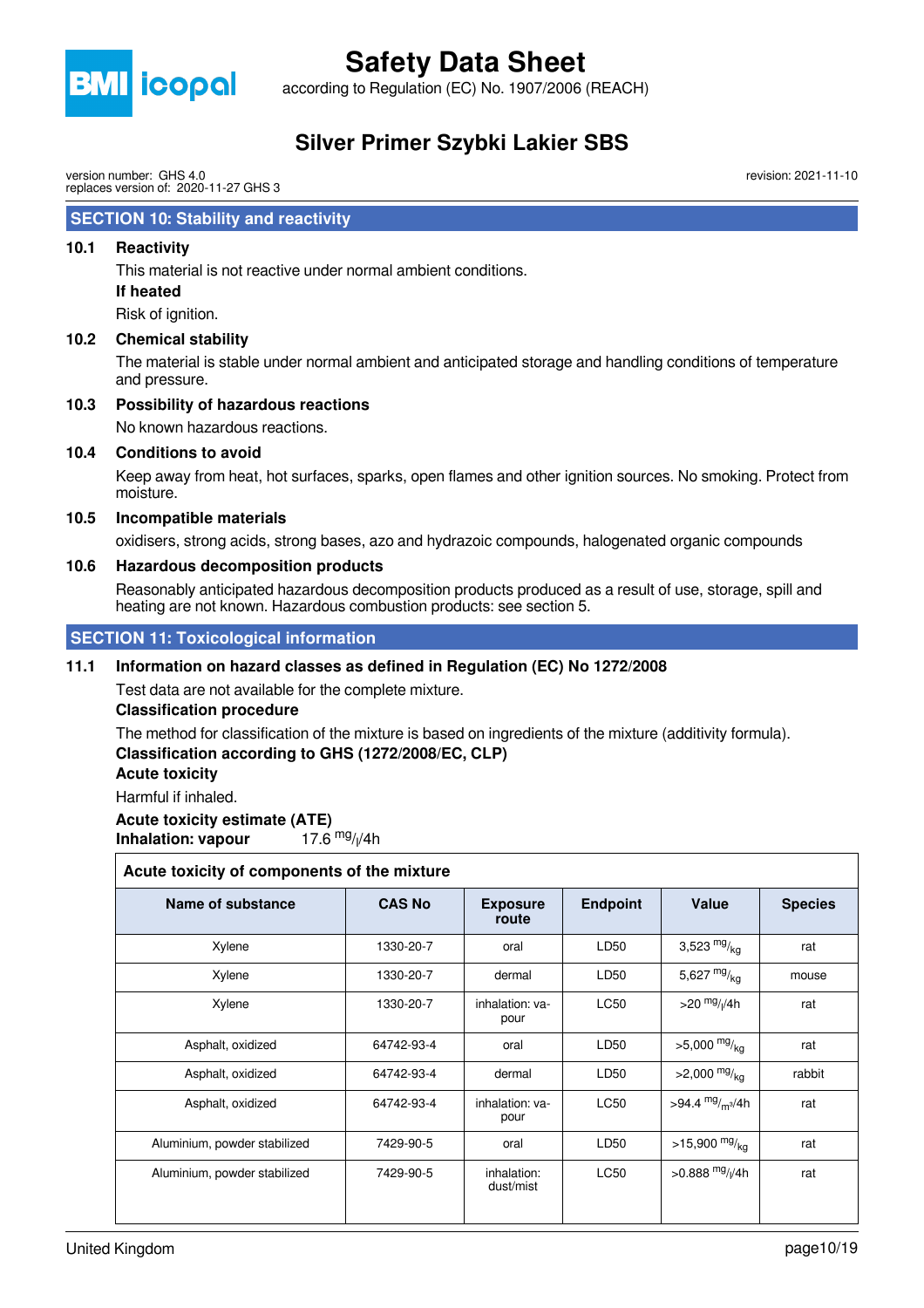

according to Regulation (EC) No. 1907/2006 (REACH)

### **Silver Primer Szybki Lakier SBS**

version number: GHS 4.0 replaces version of: 2020-11-27 GHS 3

#### **SECTION 10: Stability and reactivity**

#### **10.1 Reactivity**

This material is not reactive under normal ambient conditions.

#### **If heated**

Risk of ignition.

#### **10.2 Chemical stability**

The material is stable under normal ambient and anticipated storage and handling conditions of temperature and pressure.

#### **10.3 Possibility of hazardous reactions**

No known hazardous reactions.

#### **10.4 Conditions to avoid**

Keep away from heat, hot surfaces, sparks, open flames and other ignition sources. No smoking. Protect from moisture.

#### **10.5 Incompatible materials**

oxidisers, strong acids, strong bases, azo and hydrazoic compounds, halogenated organic compounds

#### **10.6 Hazardous decomposition products**

Reasonably anticipated hazardous decomposition products produced as a result of use, storage, spill and heating are not known. Hazardous combustion products: see section 5.

 **SECTION 11: Toxicological information**

#### **11.1 Information on hazard classes as defined in Regulation (EC) No 1272/2008**

Test data are not available for the complete mixture.

#### **Classification procedure**

The method for classification of the mixture is based on ingredients of the mixture (additivity formula). **Classification according to GHS (1272/2008/EC, CLP)**

#### **Acute toxicity**

Harmful if inhaled.

#### **Acute toxicity estimate (ATE)**

**Inhalation: vapour** 17.6  $mg/1/4h$ 

#### **Acute toxicity of components of the mixture**

| Name of substance            | <b>CAS No</b> | <b>Exposure</b><br>route | <b>Endpoint</b>  | Value                          | <b>Species</b> |
|------------------------------|---------------|--------------------------|------------------|--------------------------------|----------------|
| Xylene                       | 1330-20-7     | oral                     | LD <sub>50</sub> | 3,523 $mg/kq$                  | rat            |
| Xylene                       | 1330-20-7     | dermal                   | LD50             | 5,627 $mg/_{kq}$               | mouse          |
| Xylene                       | 1330-20-7     | inhalation: ya-<br>pour  | <b>LC50</b>      | $>$ 20 $mg$ / <sub>I</sub> /4h | rat            |
| Asphalt, oxidized            | 64742-93-4    | oral                     | LD50             | $>5,000$ mg/ <sub>ka</sub>     | rat            |
| Asphalt, oxidized            | 64742-93-4    | dermal                   | LD50             | $>2,000$ mg/ <sub>kg</sub>     | rabbit         |
| Asphalt, oxidized            | 64742-93-4    | inhalation: va-<br>pour  | <b>LC50</b>      | >94.4 $mg/m^{3}/4h$            | rat            |
| Aluminium, powder stabilized | 7429-90-5     | oral                     | LD <sub>50</sub> | $>15,900$ mg/ <sub>kg</sub>    | rat            |
| Aluminium, powder stabilized | 7429-90-5     | inhalation:<br>dust/mist | <b>LC50</b>      | >0.888 $mg/1/4h$               | rat            |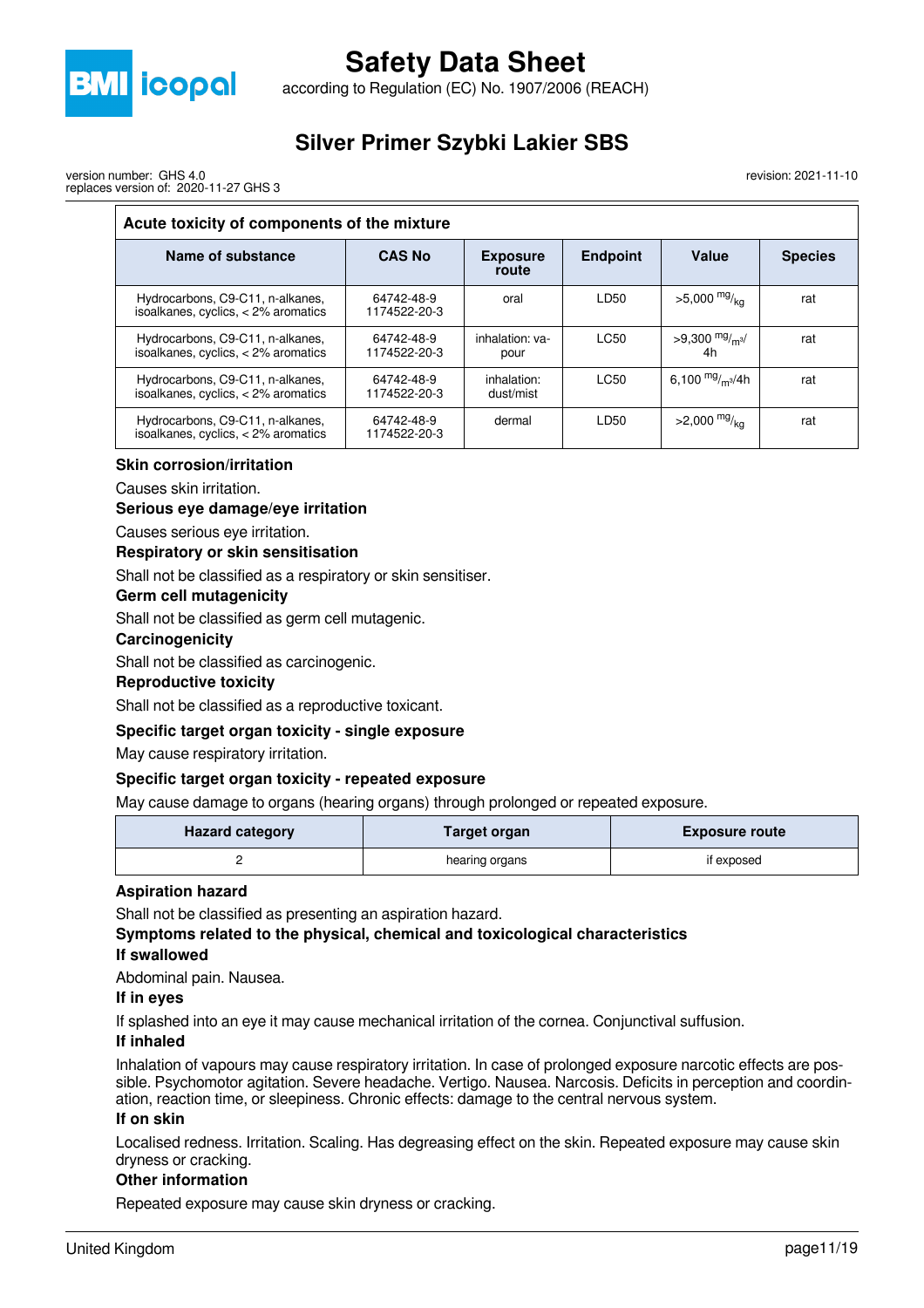

according to Regulation (EC) No. 1907/2006 (REACH)

## **Silver Primer Szybki Lakier SBS**

version number: GHS 4.0 replaces version of: 2020-11-27 GHS 3

#### revision: 2021-11-10

### **Acute toxicity of components of the mixture**

| Name of substance                                                         | <b>CAS No</b>              | <b>Exposure</b><br>route | <b>Endpoint</b> | Value                      | <b>Species</b> |
|---------------------------------------------------------------------------|----------------------------|--------------------------|-----------------|----------------------------|----------------|
| Hydrocarbons, C9-C11, n-alkanes,<br>isoalkanes, cyclics, $<$ 2% aromatics | 64742-48-9<br>1174522-20-3 | oral                     | LD50            | $>5,000$ mg/ <sub>ka</sub> | rat            |
| Hydrocarbons, C9-C11, n-alkanes,<br>isoalkanes, cyclics, $<$ 2% aromatics | 64742-48-9<br>1174522-20-3 | inhalation: ya-<br>pour  | LC50            | >9,300 $mg/m3$<br>4h       | rat            |
| Hydrocarbons, C9-C11, n-alkanes,<br>isoalkanes, cyclics, $<$ 2% aromatics | 64742-48-9<br>1174522-20-3 | inhalation:<br>dust/mist | LC50            | 6,100 $mg/m^3/4h$          | rat            |
| Hydrocarbons, C9-C11, n-alkanes,<br>isoalkanes, cyclics, $<$ 2% aromatics | 64742-48-9<br>1174522-20-3 | dermal                   | LD50            | $>2,000$ mg/ <sub>ka</sub> | rat            |

#### **Skin corrosion/irritation**

Causes skin irritation.

#### **Serious eye damage/eye irritation**

Causes serious eye irritation.

#### **Respiratory or skin sensitisation**

Shall not be classified as a respiratory or skin sensitiser.

#### **Germ cell mutagenicity**

Shall not be classified as germ cell mutagenic.

#### **Carcinogenicity**

Shall not be classified as carcinogenic.

#### **Reproductive toxicity**

Shall not be classified as a reproductive toxicant.

#### **Specific target organ toxicity - single exposure**

May cause respiratory irritation.

#### **Specific target organ toxicity - repeated exposure**

May cause damage to organs (hearing organs) through prolonged or repeated exposure.

| <b>Hazard category</b> | <b>Target organ</b> | <b>Exposure route</b> |
|------------------------|---------------------|-----------------------|
|                        | hearing organs      | if exposed            |

#### **Aspiration hazard**

Shall not be classified as presenting an aspiration hazard.

**Symptoms related to the physical, chemical and toxicological characteristics If swallowed**

Abdominal pain. Nausea.

#### **If in eyes**

If splashed into an eye it may cause mechanical irritation of the cornea. Conjunctival suffusion.

#### **If inhaled**

Inhalation of vapours may cause respiratory irritation. In case of prolonged exposure narcotic effects are possible. Psychomotor agitation. Severe headache. Vertigo. Nausea. Narcosis. Deficits in perception and coordination, reaction time, or sleepiness. Chronic effects: damage to the central nervous system.

#### **If on skin**

Localised redness. Irritation. Scaling. Has degreasing effect on the skin. Repeated exposure may cause skin dryness or cracking.

#### **Other information**

Repeated exposure may cause skin dryness or cracking.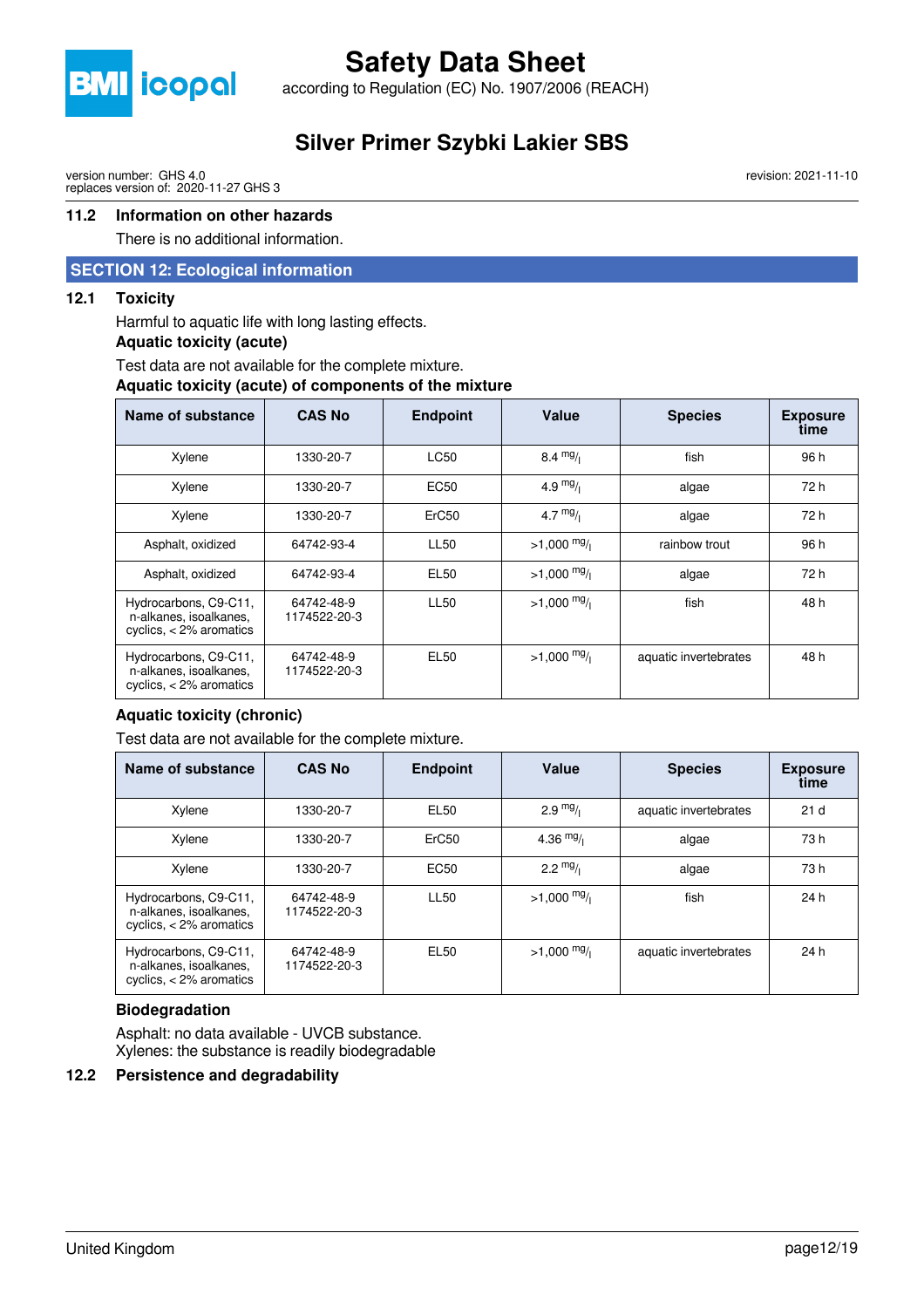

according to Regulation (EC) No. 1907/2006 (REACH)

### **Silver Primer Szybki Lakier SBS**

version number: GHS 4.0 replaces version of: 2020-11-27 GHS 3

#### **11.2 Information on other hazards**

There is no additional information.

#### **SECTION 12: Ecological information**

#### **12.1 Toxicity**

Harmful to aquatic life with long lasting effects.

#### **Aquatic toxicity (acute)**

Test data are not available for the complete mixture.

#### **Aquatic toxicity (acute) of components of the mixture**

| Name of substance                                                            | <b>CAS No</b>              | <b>Endpoint</b>  | Value        | <b>Species</b>        | <b>Exposure</b><br>time |
|------------------------------------------------------------------------------|----------------------------|------------------|--------------|-----------------------|-------------------------|
| Xylene                                                                       | 1330-20-7                  | LC50             | 8.4 $mg/$    | fish                  | 96 h                    |
| Xylene                                                                       | 1330-20-7                  | EC <sub>50</sub> | 4.9 $mg/$    | algae                 | 72 h                    |
| Xylene                                                                       | 1330-20-7                  | ErC50            | 4.7 $mg/1$   | algae                 | 72 h                    |
| Asphalt, oxidized                                                            | 64742-93-4                 | LL50             | $>1,000$ mg/ | rainbow trout         | 96 h                    |
| Asphalt, oxidized                                                            | 64742-93-4                 | EL50             | $>1,000$ mg/ | algae                 | 72 h                    |
| Hydrocarbons, C9-C11,<br>n-alkanes, isoalkanes,<br>cyclics, $<$ 2% aromatics | 64742-48-9<br>1174522-20-3 | <b>LL50</b>      | $>1,000$ mg/ | fish                  | 48 h                    |
| Hydrocarbons, C9-C11,<br>n-alkanes, isoalkanes,<br>cyclics, $<$ 2% aromatics | 64742-48-9<br>1174522-20-3 | EL50             | $>1,000$ mg/ | aquatic invertebrates | 48 h                    |

#### **Aquatic toxicity (chronic)**

Test data are not available for the complete mixture.

| Name of substance                                                            | <b>CAS No</b>              | <b>Endpoint</b>   | Value                 | <b>Species</b>        | <b>Exposure</b><br>time |
|------------------------------------------------------------------------------|----------------------------|-------------------|-----------------------|-----------------------|-------------------------|
| Xylene                                                                       | 1330-20-7                  | EL50              | $2.9 \frac{mg}{l}$    | aquatic invertebrates | 21 <sub>d</sub>         |
| Xylene                                                                       | 1330-20-7                  | ErC <sub>50</sub> | 4.36 $mg/$            | algae                 | 73 h                    |
| Xylene                                                                       | 1330-20-7                  | <b>EC50</b>       | $2.2 \frac{mg}{l}$    | algae                 | 73 h                    |
| Hydrocarbons, C9-C11,<br>n-alkanes, isoalkanes,<br>cyclics, $<$ 2% aromatics | 64742-48-9<br>1174522-20-3 | <b>LL50</b>       | $>1,000 \frac{mg}{l}$ | fish                  | 24 h                    |
| Hydrocarbons, C9-C11,<br>n-alkanes, isoalkanes,<br>cyclics, $<$ 2% aromatics | 64742-48-9<br>1174522-20-3 | EL50              | $>1,000$ mg/          | aquatic invertebrates | 24 h                    |

#### **Biodegradation**

Asphalt: no data available - UVCB substance. Xylenes: the substance is readily biodegradable

#### **12.2 Persistence and degradability**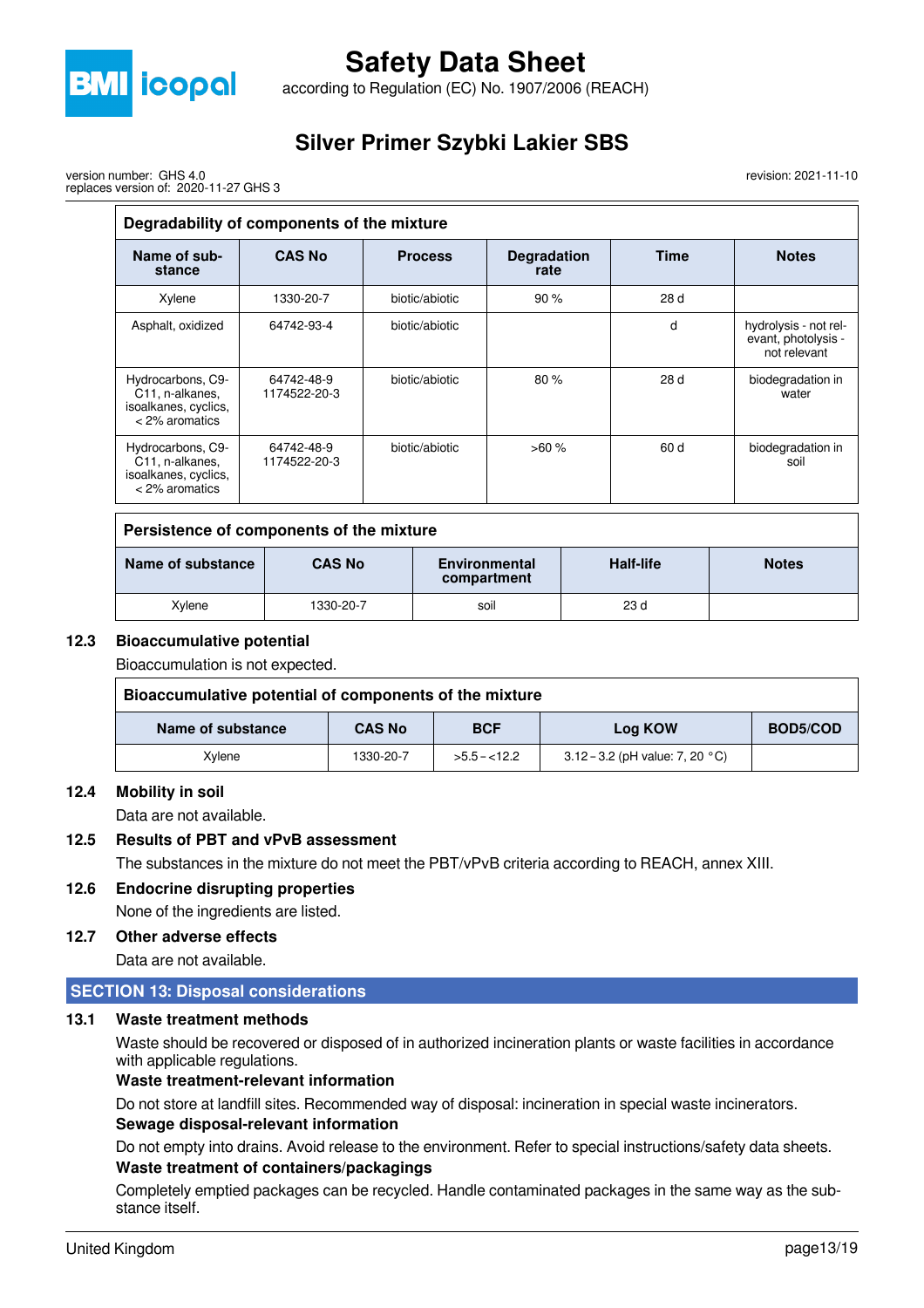

version number: GHS 4.0

## **Safety Data Sheet**

according to Regulation (EC) No. 1907/2006 (REACH)

### **Silver Primer Szybki Lakier SBS**

revision: 2021-11-10

| Degradability of components of the mixture                                                  |                            |                |                            |             |                                                              |  |
|---------------------------------------------------------------------------------------------|----------------------------|----------------|----------------------------|-------------|--------------------------------------------------------------|--|
| Name of sub-<br>stance                                                                      | <b>CAS No</b>              | <b>Process</b> | <b>Degradation</b><br>rate | <b>Time</b> | <b>Notes</b>                                                 |  |
| Xylene                                                                                      | 1330-20-7                  | biotic/abiotic | 90%                        | 28 d        |                                                              |  |
| Asphalt, oxidized                                                                           | 64742-93-4                 | biotic/abiotic |                            | d           | hydrolysis - not rel-<br>evant, photolysis -<br>not relevant |  |
| Hydrocarbons, C9-<br>C <sub>11</sub> , n-alkanes,<br>isoalkanes, cyclics,<br>< 2% aromatics | 64742-48-9<br>1174522-20-3 | biotic/abiotic | 80%                        | 28d         | biodegradation in<br>water                                   |  |
| Hydrocarbons, C9-<br>C <sub>11</sub> , n-alkanes,<br>isoalkanes, cyclics,<br>< 2% aromatics | 64742-48-9<br>1174522-20-3 | biotic/abiotic | >60%                       | 60 d        | biodegradation in<br>soil                                    |  |

#### **Persistence of components of the mixture**

| Name of substance | <b>CAS No</b> | <b>Environmental</b><br>compartment | <b>Half-life</b> | <b>Notes</b> |
|-------------------|---------------|-------------------------------------|------------------|--------------|
| Xylene            | 1330-20-7     | soil                                | 23 <sub>d</sub>  |              |

#### **12.3 Bioaccumulative potential**

Bioaccumulation is not expected.

| Bioaccumulative potential of components of the mixture |               |               |                                           |          |  |
|--------------------------------------------------------|---------------|---------------|-------------------------------------------|----------|--|
| Name of substance                                      | <b>CAS No</b> | <b>BCF</b>    | Log KOW                                   | BOD5/COD |  |
| Xvlene                                                 | 1330-20-7     | $>5.5 - 12.2$ | 3.12 – 3.2 (pH value: 7, 20 $^{\circ}$ C) |          |  |

#### **12.4 Mobility in soil**

Data are not available.

#### **12.5 Results of PBT and vPvB assessment**

The substances in the mixture do not meet the PBT/vPvB criteria according to REACH, annex XIII.

#### **12.6 Endocrine disrupting properties**

None of the ingredients are listed.

#### **12.7 Other adverse effects**

Data are not available.

#### **SECTION 13: Disposal considerations**

#### **13.1 Waste treatment methods**

Waste should be recovered or disposed of in authorized incineration plants or waste facilities in accordance with applicable regulations.

#### **Waste treatment-relevant information**

Do not store at landfill sites. Recommended way of disposal: incineration in special waste incinerators.

#### **Sewage disposal-relevant information**

Do not empty into drains. Avoid release to the environment. Refer to special instructions/safety data sheets. **Waste treatment of containers/packagings**

Completely emptied packages can be recycled. Handle contaminated packages in the same way as the substance itself.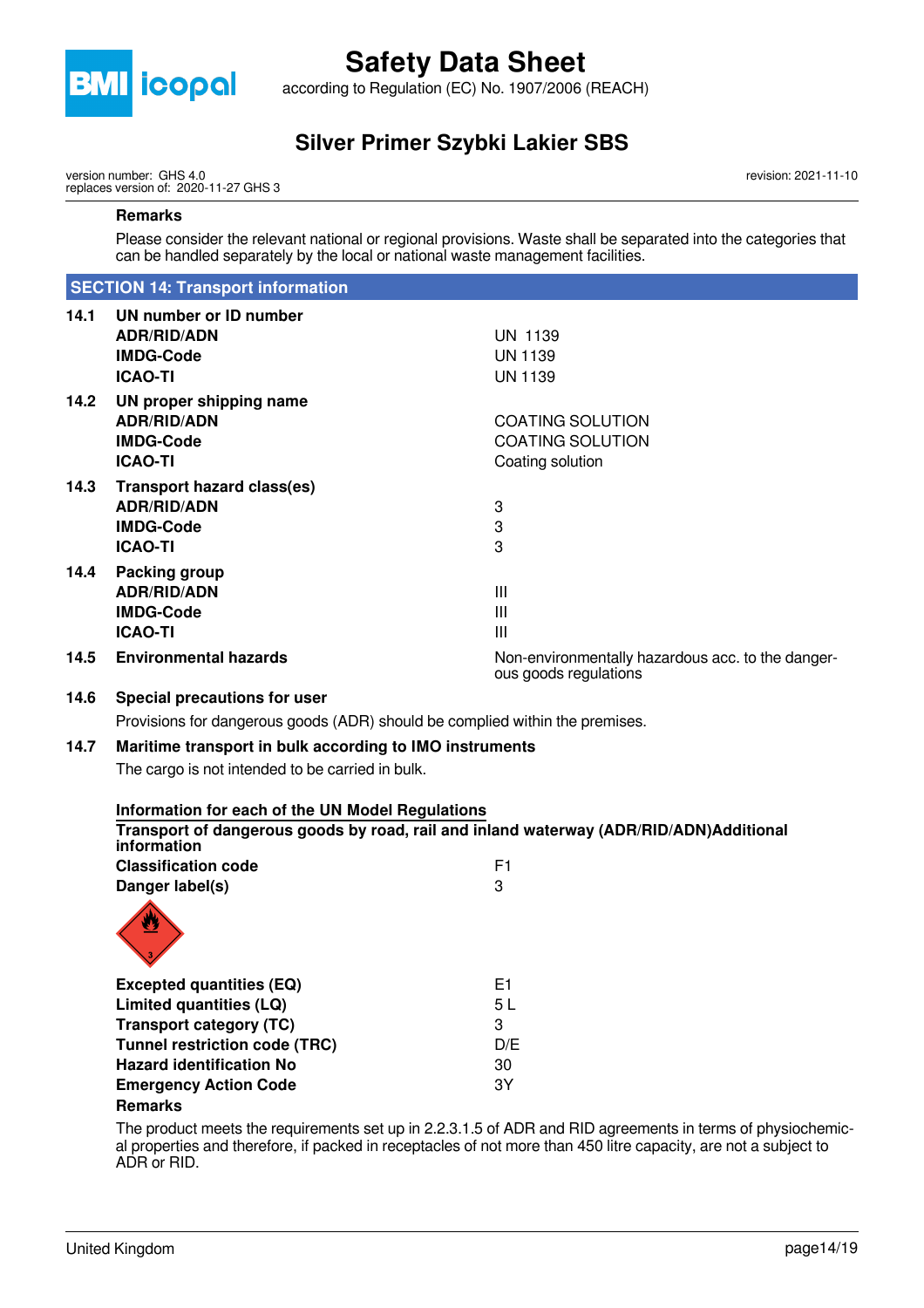

according to Regulation (EC) No. 1907/2006 (REACH)

### **Silver Primer Szybki Lakier SBS**

version number: GHS 4.0 replaces version of: 2020-11-27 GHS 3 revision: 2021-11-10

#### **Remarks**

Please consider the relevant national or regional provisions. Waste shall be separated into the categories that can be handled separately by the local or national waste management facilities.

#### **SECTION 14: Transport information**

| 14.1 | UN number or ID number            |                                                                            |
|------|-----------------------------------|----------------------------------------------------------------------------|
|      | <b>ADR/RID/ADN</b>                | <b>UN 1139</b>                                                             |
|      | <b>IMDG-Code</b>                  | <b>UN 1139</b>                                                             |
|      | <b>ICAO-TI</b>                    | <b>UN 1139</b>                                                             |
| 14.2 | UN proper shipping name           |                                                                            |
|      | <b>ADR/RID/ADN</b>                | <b>COATING SOLUTION</b>                                                    |
|      | <b>IMDG-Code</b>                  | <b>COATING SOLUTION</b>                                                    |
|      | <b>ICAO-TI</b>                    | Coating solution                                                           |
| 14.3 | <b>Transport hazard class(es)</b> |                                                                            |
|      | <b>ADR/RID/ADN</b>                | 3                                                                          |
|      | <b>IMDG-Code</b>                  | 3                                                                          |
|      | <b>ICAO-TI</b>                    | 3                                                                          |
| 14.4 | Packing group                     |                                                                            |
|      | <b>ADR/RID/ADN</b>                | Ш                                                                          |
|      | <b>IMDG-Code</b>                  | Ш                                                                          |
|      | <b>ICAO-TI</b>                    | Ш                                                                          |
| 14.5 | <b>Environmental hazards</b>      | Non-environmentally hazardous acc. to the danger-<br>ous goods regulations |

#### **14.6 Special precautions for user**

Provisions for dangerous goods (ADR) should be complied within the premises.

#### **14.7 Maritime transport in bulk according to IMO instruments**

The cargo is not intended to be carried in bulk.

| Information for each of the UN Model Regulations |                                                                                                     |
|--------------------------------------------------|-----------------------------------------------------------------------------------------------------|
| information                                      | Transport of dangerous goods by road, rail and inland waterway (ADR/RID/ADN)Additional              |
| <b>Classification code</b>                       | F1                                                                                                  |
| Danger label(s)                                  | 3                                                                                                   |
|                                                  |                                                                                                     |
| <b>Excepted quantities (EQ)</b>                  | E1                                                                                                  |
| Limited quantities (LQ)                          | 5 L                                                                                                 |
| <b>Transport category (TC)</b>                   | 3                                                                                                   |
| <b>Tunnel restriction code (TRC)</b>             | D/E                                                                                                 |
| <b>Hazard identification No</b>                  | 30                                                                                                  |
| <b>Emergency Action Code</b>                     | 3Y                                                                                                  |
| <b>Remarks</b>                                   |                                                                                                     |
|                                                  | The product meets the requirements est up in $9.2315$ of ADD and DID egreements in terms of physics |

The product meets the requirements set up in 2.2.3.1.5 of ADR and RID agreements in terms of physiochemical properties and therefore, if packed in receptacles of not more than 450 litre capacity, are not a subject to ADR or RID.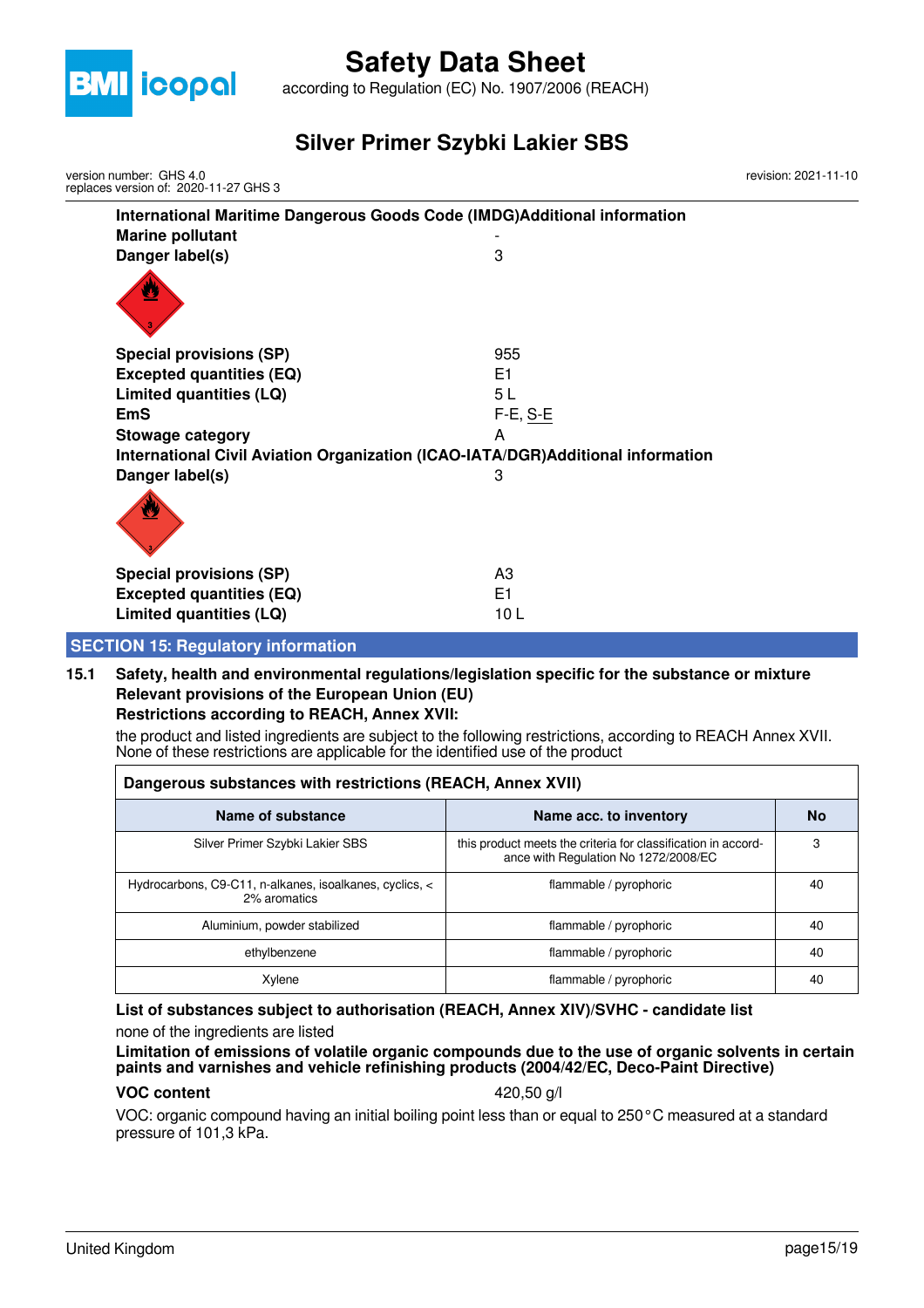

according to Regulation (EC) No. 1907/2006 (REACH)

### **Silver Primer Szybki Lakier SBS**

| version number: GHS 4.0<br>replaces version of: 2020-11-27 GHS 3 | revision: 2021-11-10                                                             |  |
|------------------------------------------------------------------|----------------------------------------------------------------------------------|--|
|                                                                  | International Maritime Dangerous Goods Code (IMDG)Additional information         |  |
| <b>Marine pollutant</b>                                          |                                                                                  |  |
| Danger label(s)                                                  | 3                                                                                |  |
|                                                                  |                                                                                  |  |
| <b>Special provisions (SP)</b>                                   | 955                                                                              |  |
| <b>Excepted quantities (EQ)</b>                                  | E1                                                                               |  |
| Limited quantities (LQ)                                          | 5L                                                                               |  |
| <b>EmS</b>                                                       | $F-E$ , $S-E$                                                                    |  |
| <b>Stowage category</b>                                          | A                                                                                |  |
|                                                                  | International Civil Aviation Organization (ICAO-IATA/DGR) Additional information |  |
| Danger label(s)                                                  | 3                                                                                |  |
|                                                                  |                                                                                  |  |
| <b>Special provisions (SP)</b>                                   | A <sub>3</sub>                                                                   |  |
| <b>Excepted quantities (EQ)</b>                                  | E <sub>1</sub>                                                                   |  |
| Limited quantities (LQ)                                          | 10L                                                                              |  |
| <b>SECTION 15: Regulatory information</b>                        |                                                                                  |  |

### **15.1 Safety, health and environmental regulations/legislation specific for the substance or mixture Relevant provisions of the European Union (EU)**

#### **Restrictions according to REACH, Annex XVII:**

the product and listed ingredients are subject to the following restrictions, according to REACH Annex XVII. None of these restrictions are applicable for the identified use of the product

| Dangerous substances with restrictions (REACH, Annex XVII)              |                                                                                                       |    |  |  |
|-------------------------------------------------------------------------|-------------------------------------------------------------------------------------------------------|----|--|--|
| Name of substance                                                       | Name acc. to inventory                                                                                | No |  |  |
| Silver Primer Szybki Lakier SBS                                         | this product meets the criteria for classification in accord-<br>ance with Regulation No 1272/2008/EC | 3  |  |  |
| Hydrocarbons, C9-C11, n-alkanes, isoalkanes, cyclics, <<br>2% aromatics | flammable / pyrophoric                                                                                | 40 |  |  |
| Aluminium, powder stabilized                                            | flammable / pyrophoric                                                                                | 40 |  |  |
| ethylbenzene                                                            | flammable / pyrophoric                                                                                | 40 |  |  |
| Xylene                                                                  | flammable / pyrophoric                                                                                | 40 |  |  |

#### **List of substances subject to authorisation (REACH, Annex XIV)/SVHC - candidate list**

none of the ingredients are listed

#### **Limitation of emissions of volatile organic compounds due to the use of organic solvents in certain paints and varnishes and vehicle refinishing products (2004/42/EC, Deco-Paint Directive)**

#### **VOC content** 420,50 g/l

VOC: organic compound having an initial boiling point less than or equal to 250°C measured at a standard pressure of 101,3 kPa.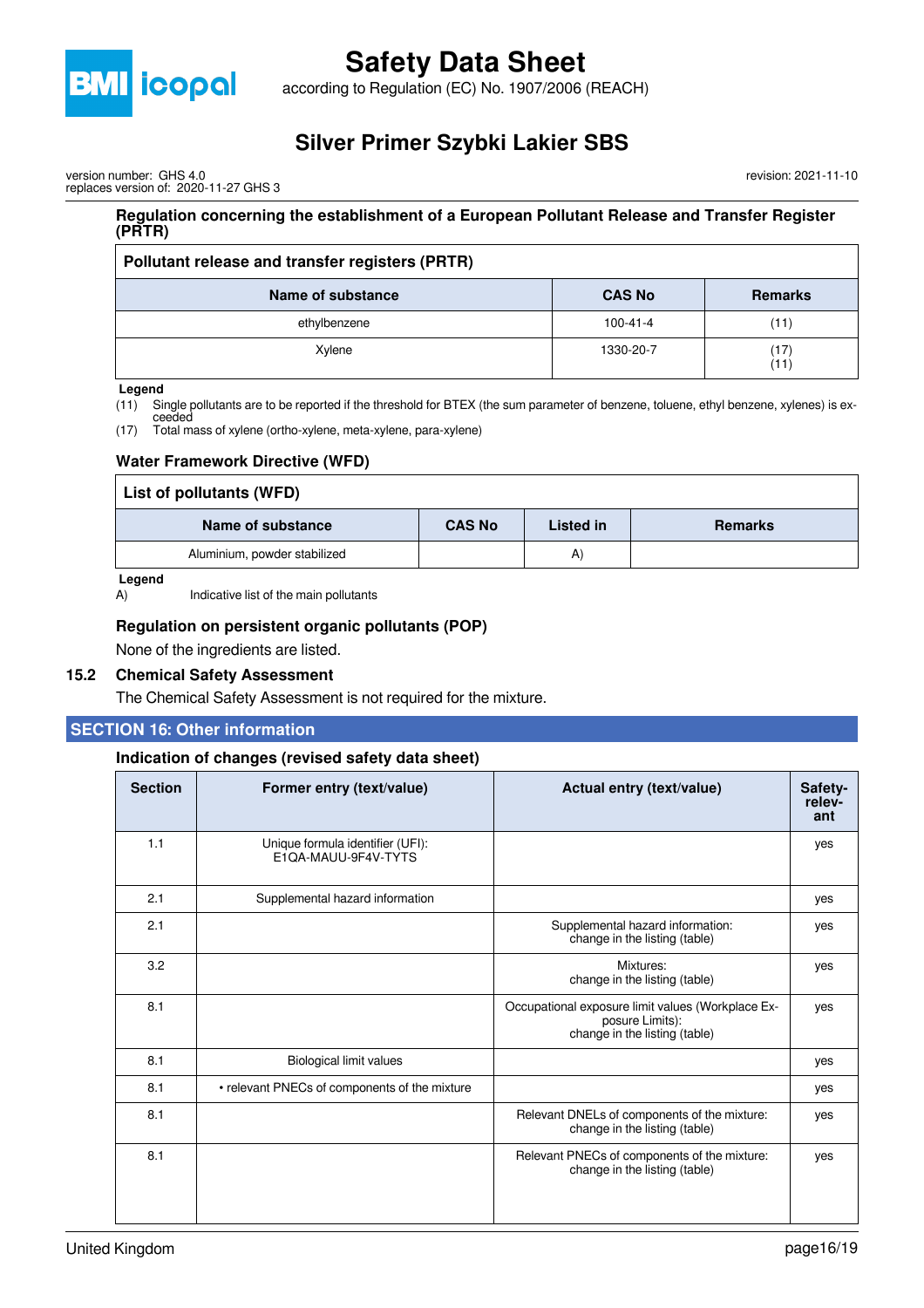

according to Regulation (EC) No. 1907/2006 (REACH)

### **Silver Primer Szybki Lakier SBS**

version number: GHS 4.0 replaces version of: 2020-11-27 GHS 3

#### **Regulation concerning the establishment of a European Pollutant Release and Transfer Register (PRTR)**

| Pollutant release and transfer registers (PRTR) |                |                |  |
|-------------------------------------------------|----------------|----------------|--|
| Name of substance                               | <b>CAS No</b>  | <b>Remarks</b> |  |
| ethylbenzene                                    | $100 - 41 - 4$ | (11)           |  |
| Xylene                                          | 1330-20-7      | (17)<br>(11)   |  |

#### **Legend**

(11) Single pollutants are to be reported if the threshold for BTEX (the sum parameter of benzene, toluene, ethyl benzene, xylenes) is ex-

ceeded (17) Total mass of xylene (ortho-xylene, meta-xylene, para-xylene)

#### **Water Framework Directive (WFD)**

| List of pollutants (WFD)     |               |           |                |  |
|------------------------------|---------------|-----------|----------------|--|
| Name of substance            | <b>CAS No</b> | Listed in | <b>Remarks</b> |  |
| Aluminium, powder stabilized |               | A)        |                |  |

#### **Legend**

A) Indicative list of the main pollutants

#### **Regulation on persistent organic pollutants (POP)**

None of the ingredients are listed.

#### **15.2 Chemical Safety Assessment**

The Chemical Safety Assessment is not required for the mixture.

#### **SECTION 16: Other information**

#### **Indication of changes (revised safety data sheet)**

| <b>Section</b> | Former entry (text/value)                               | Actual entry (text/value)                                                                             | Safety-<br>relev-<br>ant |
|----------------|---------------------------------------------------------|-------------------------------------------------------------------------------------------------------|--------------------------|
| 1.1            | Unique formula identifier (UFI):<br>E1QA-MAUU-9F4V-TYTS |                                                                                                       | yes                      |
| 2.1            | Supplemental hazard information                         |                                                                                                       | yes                      |
| 2.1            |                                                         | Supplemental hazard information:<br>change in the listing (table)                                     | yes                      |
| 3.2            |                                                         | Mixtures:<br>change in the listing (table)                                                            | yes                      |
| 8.1            |                                                         | Occupational exposure limit values (Workplace Ex-<br>posure Limits):<br>change in the listing (table) | yes                      |
| 8.1            | Biological limit values                                 |                                                                                                       | yes                      |
| 8.1            | • relevant PNECs of components of the mixture           |                                                                                                       | yes                      |
| 8.1            |                                                         | Relevant DNELs of components of the mixture:<br>change in the listing (table)                         | yes                      |
| 8.1            |                                                         | Relevant PNECs of components of the mixture:<br>change in the listing (table)                         | yes                      |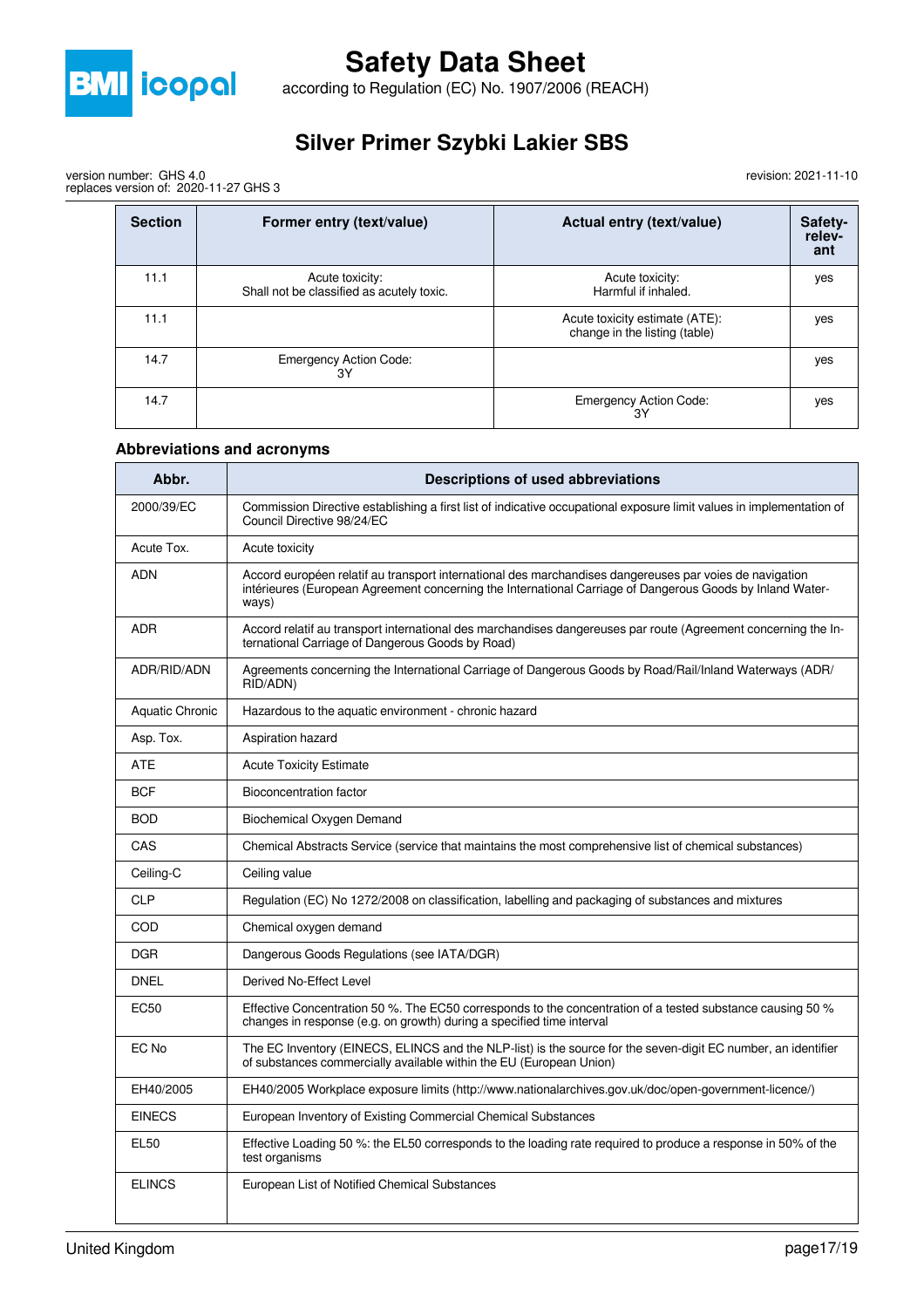

according to Regulation (EC) No. 1907/2006 (REACH)

## **Silver Primer Szybki Lakier SBS**

revision: 2021-11-10

| version number: GHS 4.0               |  |  |
|---------------------------------------|--|--|
| replaces version of: 2020-11-27 GHS 3 |  |  |

| <b>Section</b> | Former entry (text/value)                                    | Actual entry (text/value)                                       | Safety-<br>relev-<br>ant |
|----------------|--------------------------------------------------------------|-----------------------------------------------------------------|--------------------------|
| 11.1           | Acute toxicity:<br>Shall not be classified as acutely toxic. | Acute toxicity:<br>Harmful if inhaled.                          | yes                      |
| 11.1           |                                                              | Acute toxicity estimate (ATE):<br>change in the listing (table) | yes                      |
| 14.7           | <b>Emergency Action Code:</b><br>3Υ                          |                                                                 | yes                      |
| 14.7           |                                                              | <b>Emergency Action Code:</b><br>3Υ                             | yes                      |

#### **Abbreviations and acronyms**

| Abbr.                  | Descriptions of used abbreviations                                                                                                                                                                                            |
|------------------------|-------------------------------------------------------------------------------------------------------------------------------------------------------------------------------------------------------------------------------|
| 2000/39/EC             | Commission Directive establishing a first list of indicative occupational exposure limit values in implementation of<br>Council Directive 98/24/EC                                                                            |
| Acute Tox.             | Acute toxicity                                                                                                                                                                                                                |
| ADN                    | Accord européen relatif au transport international des marchandises dangereuses par voies de navigation<br>intérieures (European Agreement concerning the International Carriage of Dangerous Goods by Inland Water-<br>ways) |
| <b>ADR</b>             | Accord relatif au transport international des marchandises dangereuses par route (Agreement concerning the In-<br>ternational Carriage of Dangerous Goods by Road)                                                            |
| ADR/RID/ADN            | Agreements concerning the International Carriage of Dangerous Goods by Road/Rail/Inland Waterways (ADR/<br>RID/ADN)                                                                                                           |
| <b>Aquatic Chronic</b> | Hazardous to the aquatic environment - chronic hazard                                                                                                                                                                         |
| Asp. Tox.              | Aspiration hazard                                                                                                                                                                                                             |
| ATE                    | <b>Acute Toxicity Estimate</b>                                                                                                                                                                                                |
| <b>BCF</b>             | Bioconcentration factor                                                                                                                                                                                                       |
| <b>BOD</b>             | Biochemical Oxygen Demand                                                                                                                                                                                                     |
| CAS                    | Chemical Abstracts Service (service that maintains the most comprehensive list of chemical substances)                                                                                                                        |
| Ceiling-C              | Ceiling value                                                                                                                                                                                                                 |
| <b>CLP</b>             | Regulation (EC) No 1272/2008 on classification, labelling and packaging of substances and mixtures                                                                                                                            |
| COD                    | Chemical oxygen demand                                                                                                                                                                                                        |
| <b>DGR</b>             | Dangerous Goods Regulations (see IATA/DGR)                                                                                                                                                                                    |
| <b>DNEL</b>            | Derived No-Effect Level                                                                                                                                                                                                       |
| <b>EC50</b>            | Effective Concentration 50 %. The EC50 corresponds to the concentration of a tested substance causing 50 %<br>changes in response (e.g. on growth) during a specified time interval                                           |
| EC No                  | The EC Inventory (EINECS, ELINCS and the NLP-list) is the source for the seven-digit EC number, an identifier<br>of substances commercially available within the EU (European Union)                                          |
| EH40/2005              | EH40/2005 Workplace exposure limits (http://www.nationalarchives.gov.uk/doc/open-government-licence/)                                                                                                                         |
| <b>EINECS</b>          | European Inventory of Existing Commercial Chemical Substances                                                                                                                                                                 |
| <b>EL50</b>            | Effective Loading 50 %: the EL50 corresponds to the loading rate required to produce a response in 50% of the<br>test organisms                                                                                               |
| <b>ELINCS</b>          | European List of Notified Chemical Substances                                                                                                                                                                                 |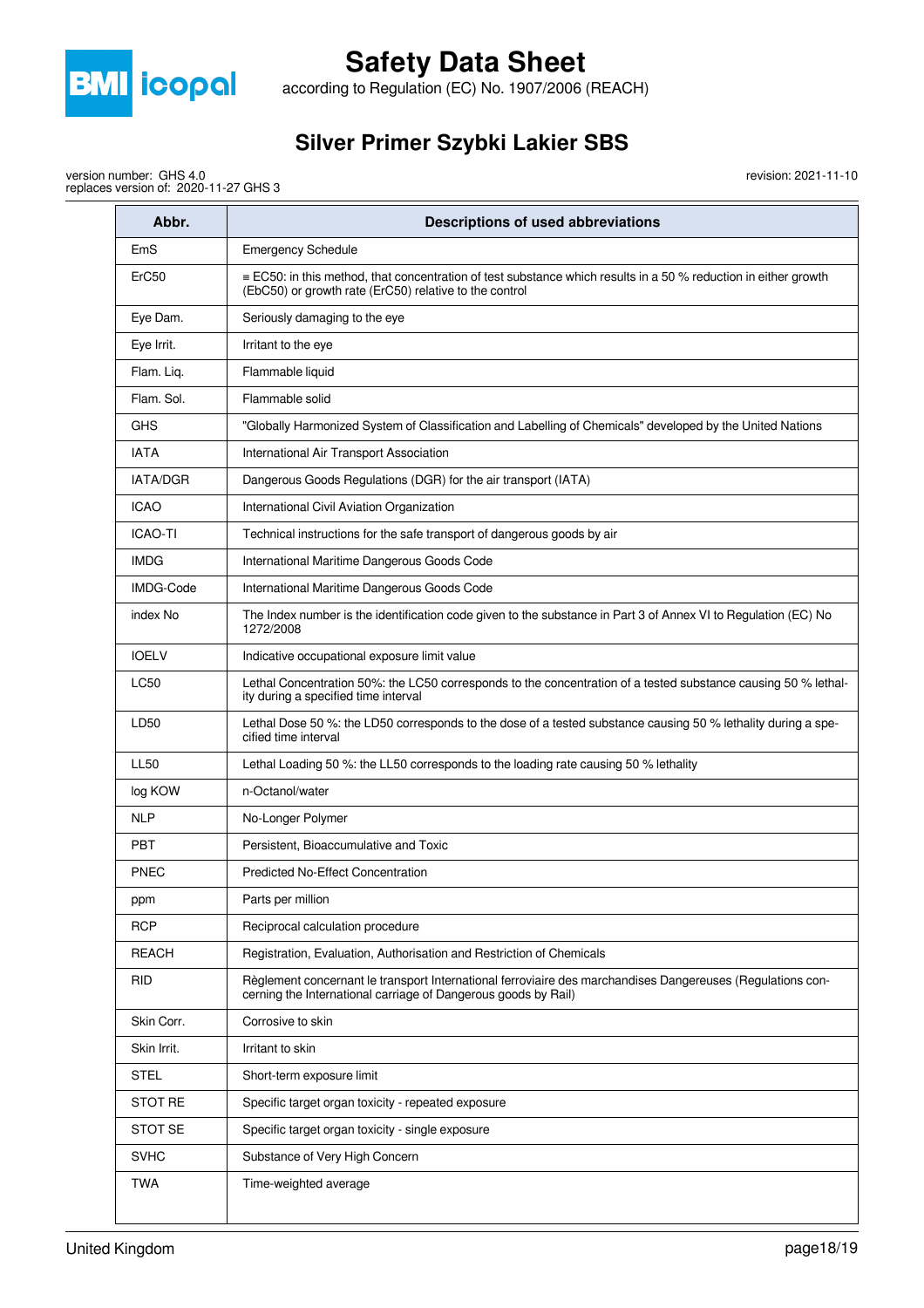

according to Regulation (EC) No. 1907/2006 (REACH)

## **Silver Primer Szybki Lakier SBS**

revision: 2021-11-10

version number: GHS 4.0 replaces version of: 2020-11-27 GHS 3

| Abbr.           | Descriptions of used abbreviations                                                                                                                                               |
|-----------------|----------------------------------------------------------------------------------------------------------------------------------------------------------------------------------|
| EmS             | <b>Emergency Schedule</b>                                                                                                                                                        |
| ErC50           | $\equiv$ EC50: in this method, that concentration of test substance which results in a 50 % reduction in either growth<br>(EbC50) or growth rate (ErC50) relative to the control |
| Eye Dam.        | Seriously damaging to the eye                                                                                                                                                    |
| Eye Irrit.      | Irritant to the eye                                                                                                                                                              |
| Flam. Liq.      | Flammable liquid                                                                                                                                                                 |
| Flam. Sol.      | Flammable solid                                                                                                                                                                  |
| <b>GHS</b>      | "Globally Harmonized System of Classification and Labelling of Chemicals" developed by the United Nations                                                                        |
| <b>IATA</b>     | International Air Transport Association                                                                                                                                          |
| <b>IATA/DGR</b> | Dangerous Goods Regulations (DGR) for the air transport (IATA)                                                                                                                   |
| <b>ICAO</b>     | International Civil Aviation Organization                                                                                                                                        |
| <b>ICAO-TI</b>  | Technical instructions for the safe transport of dangerous goods by air                                                                                                          |
| <b>IMDG</b>     | International Maritime Dangerous Goods Code                                                                                                                                      |
| IMDG-Code       | International Maritime Dangerous Goods Code                                                                                                                                      |
| index No        | The Index number is the identification code given to the substance in Part 3 of Annex VI to Regulation (EC) No<br>1272/2008                                                      |
| <b>IOELV</b>    | Indicative occupational exposure limit value                                                                                                                                     |
| <b>LC50</b>     | Lethal Concentration 50%: the LC50 corresponds to the concentration of a tested substance causing 50 % lethal-<br>ity during a specified time interval                           |
| LD50            | Lethal Dose 50 %: the LD50 corresponds to the dose of a tested substance causing 50 % lethality during a spe-<br>cified time interval                                            |
| <b>LL50</b>     | Lethal Loading 50 %: the LL50 corresponds to the loading rate causing 50 % lethality                                                                                             |
| log KOW         | n-Octanol/water                                                                                                                                                                  |
| <b>NLP</b>      | No-Longer Polymer                                                                                                                                                                |
| <b>PBT</b>      | Persistent, Bioaccumulative and Toxic                                                                                                                                            |
| <b>PNEC</b>     | <b>Predicted No-Effect Concentration</b>                                                                                                                                         |
| ppm             | Parts per million                                                                                                                                                                |
| <b>RCP</b>      | Reciprocal calculation procedure                                                                                                                                                 |
| <b>REACH</b>    | Registration, Evaluation, Authorisation and Restriction of Chemicals                                                                                                             |
| <b>RID</b>      | Règlement concernant le transport International ferroviaire des marchandises Dangereuses (Regulations con-<br>cerning the International carriage of Dangerous goods by Rail)     |
| Skin Corr.      | Corrosive to skin                                                                                                                                                                |
| Skin Irrit.     | Irritant to skin                                                                                                                                                                 |
| <b>STEL</b>     | Short-term exposure limit                                                                                                                                                        |
| <b>STOT RE</b>  | Specific target organ toxicity - repeated exposure                                                                                                                               |
| <b>STOT SE</b>  | Specific target organ toxicity - single exposure                                                                                                                                 |
| <b>SVHC</b>     | Substance of Very High Concern                                                                                                                                                   |
| TWA             | Time-weighted average                                                                                                                                                            |